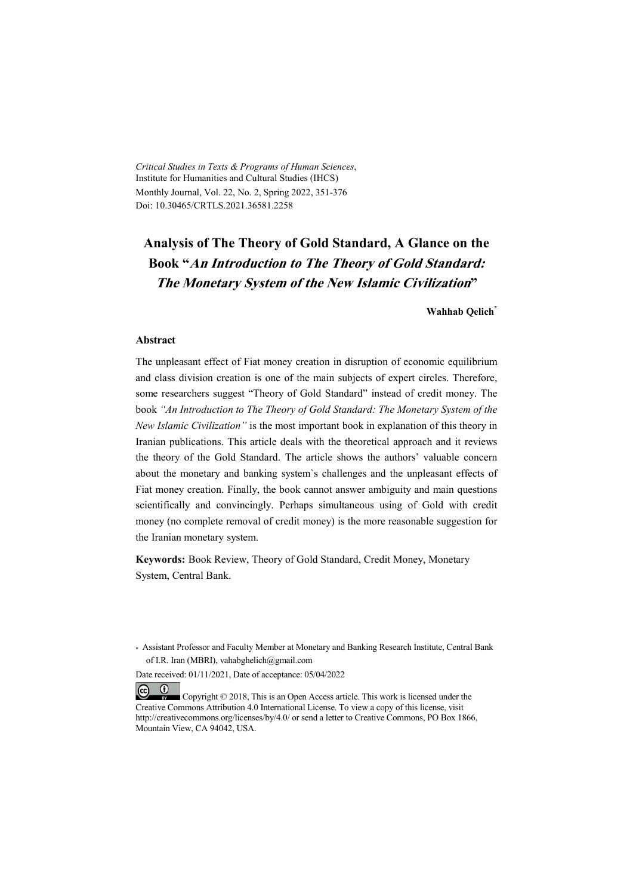*Critical Studies in Texts & Programs of Human Sciences*, Institute for Humanities and Cultural Studies (IHCS) Monthly Journal, Vol. 22, No. 2, Spring 2022, 351-376 Doi: 10.30465/CRTLS.2021.36581.2258

# **Analysis of The Theory of Gold Standard, A Glance on the Book "An Introduction to The Theory of Gold Standard: The Monetary System of the New Islamic Civilization"**

**Wahhab Qelich\***

#### **Abstract**

The unpleasant effect of Fiat money creation in disruption of economic equilibrium and class division creation is one of the main subjects of expert circles. Therefore, some researchers suggest "Theory of Gold Standard" instead of credit money. The book *"An Introduction to The Theory of Gold Standard: The Monetary System of the New Islamic Civilization"* is the most important book in explanation of this theory in Iranian publications. This article deals with the theoretical approach and it reviews the theory of the Gold Standard. The article shows the authors' valuable concern about the monetary and banking system`s challenges and the unpleasant effects of Fiat money creation. Finally, the book cannot answer ambiguity and main questions scientifically and convincingly. Perhaps simultaneous using of Gold with credit money (no complete removal of credit money) is the more reasonable suggestion for the Iranian monetary system.

**Keywords:** Book Review, Theory of Gold Standard, Credit Money, Monetary System, Central Bank.

Date received: 01/11/2021, Date of acceptance: 05/04/2022

 $(cc)$  $\bullet$  Copyright © 2018, This is an Open Access article. This work is licensed under the Creative Commons Attribution 4.0 International License. To view a copy of this license, visit http://creativecommons.org/licenses/by/4.0/ or send a letter to Creative Commons, PO Box 1866, Mountain View, CA 94042, USA.

<sup>\*</sup> Assistant Professor and Faculty Member at Monetary and Banking Research Institute, Central Bank of I.R. Iran (MBRI), vahabghelich@gmail.com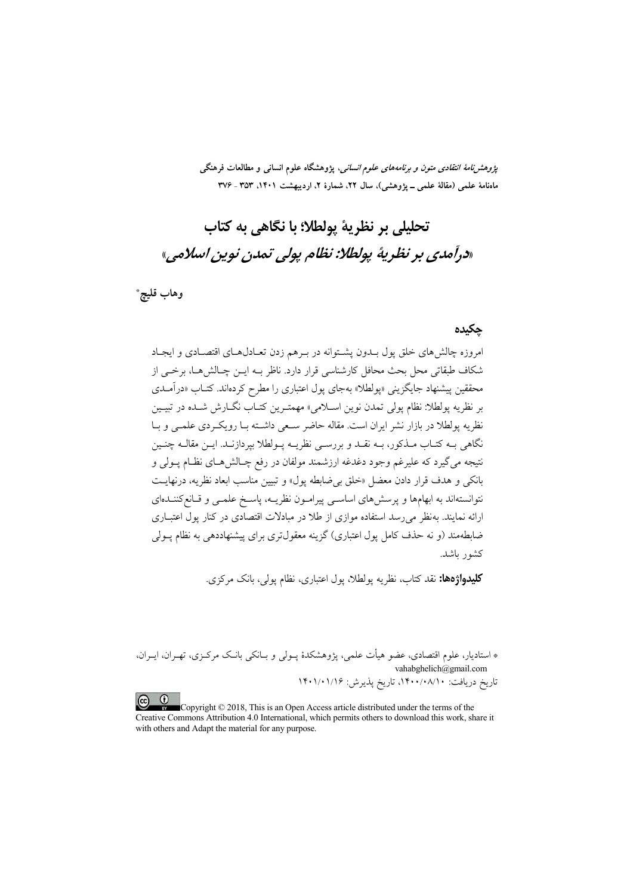*پژوهشنامهٔ انتقادی متون و برنامههای علوم انسانی،* پژوهشگاه علوم انسانی و مطالعات فرهنگی ماهنامهٔ علمی (مقالهٔ علمی ــ یژوهشی)، سال ۲۲، شمارهٔ ۲، اردیبهشت ۱۴۰۱، ۳۵۳ ـ ۳۷۶

# تحليلي پر نظرية بولطلا؛ يا نگاهي به كتاب «درآمدي بر نظرية يولطلا: نظام يولي تمدن نوين اسلامي»

وهاب قليچ\*

#### جكيده

امروزه چالشهای خلق پول بــدون پشــتوانه در بــرهم زدن تعــادل6ـای اقتصــادی و ایجـاد شکاف طبقاتی محل بحث محافل کارشناسی قرار دارد. ناظر بــه ایــن چــالش۵حـا، برخــی از محققین پیشنهاد جایگزینی «پولطلا» بهجای پول اعتباری را مطرح کردهاند. کتــاب «درآمــدی بر نظريه پولطلا: نظام پولي تمدن نوين اسـلامي» مهمتـرين كتـاب نگــارش شــده در تبيــين نظریه پولطلا در بازار نشر ایران است. مقاله حاضر سبعی داشته بـا رویکـردی علمـی و بـا نگاهی بـه کتـاب مـذکور، بـه نقـد و بررســی نظریــه پــولطلا بپردازنــد. ایــن مقالــه چنــین نتيجه مي گيرد كه عليرغم وجود دغدغه ارزشمند مولفان در رفع چــالش هــاي نظــام پــولي و بانكي و هدف قرار دادن معضل «خلق بي ضابطه يول» و تبيين مناسب ابعاد نظريه، درنهايت نتوانستهاند به ابهامها و پرسشهای اساسـی پیرامـون نظریــه، پاسـخ علمـی و قـانع۶کننـدهای ارائه نمایند. بهنظر می رسد استفاده موازی از طلا در مبادلات اقتصادی در کنار پول اعتبـاری ضابطهمند (و نه حذف کامل پول اعتباری) گزینه معقول تری برای پیشنهاددهی به نظام پــولی كشور ىاشد.

**کلیدواژهها:** نقد کتاب، نظریه یولطلا، یول اعتباری، نظام یولم ، بانک مرکزی.

\* استادیار، علوم اقتصادی، عضو هیأت علمی، پژوهشکدهٔ پــولی و بــانکی بانـک مرکــزی، تهــران، ایــران، vahabghelich@gmail.com تاریخ دریافت: ۱۴۰۰/۰۸/۱۰، تاریخ پذیرش: ۱۴۰۱/۰۱/۱۶

 $\odot$ Copyright © 2018, This is an Open Access article distributed under the terms of the Creative Commons Attribution 4.0 International, which permits others to download this work, share it with others and Adapt the material for any purpose.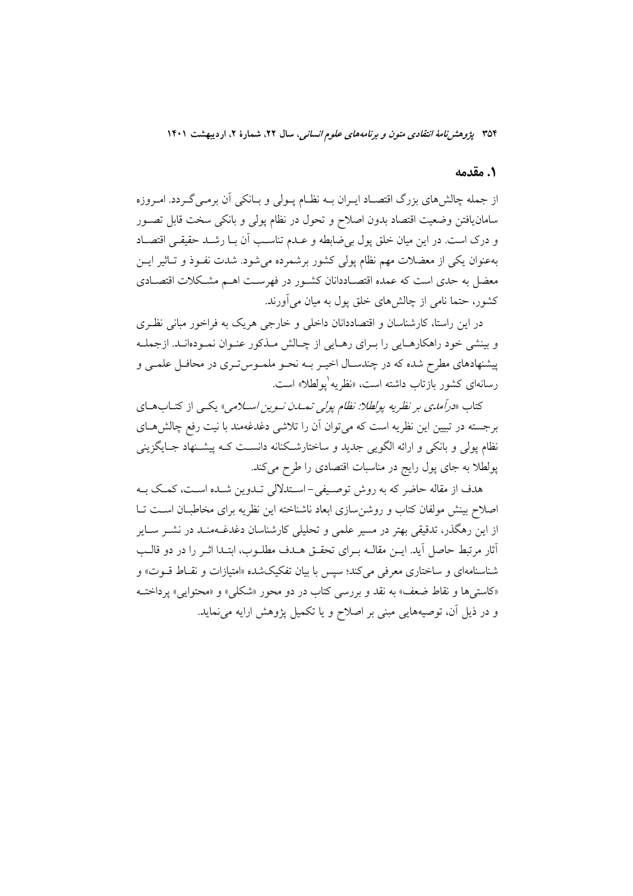#### 1. مقدمه

از جمله چالشهای بزرگ اقتصـاد ایــران بــه نظــام پــولی و بــانکی اَن برمــیگــردد. امــروزه سامان یافتن وضعیت اقتصاد بدون اصلاح و تحول در نظام پولی و بانکی سخت قابل تصـور و درک است. در این میان خلق پول بی ضابطه و عـدم تناسـب آن بـا رشـد حقیقـی اقتصـاد بهعنوان یکی از معضلات مهم نظام پولی کشور برشمرده میشود. شدت نفـوذ و تـاثیر ایــن معضل به حدی است که عمده اقتصـاددانان کشـور در فهرسـت اهـم مشـکلات اقتصـادی کشور، حتما نامی از چالشهای خلق پول به میان می[ورند.

در این راستا، کارشناسان و اقتصاددانان داخلی و خارجی هریک به فراخور مبانی نظـری و بینشی خود راهکارهـایی را بـرای رهـایی از چـالش مـذکور عنـوان نمـودهانـد. ازجملـه پیشنهادهای مطرح شده که در چندسـال اخیـر بـه نحـو ملمـوس5تـری در محافـل علمـی و رسانهای کشور بازتاب داشته است، «نظریه ٰیولطلا» است.

کتاب *«درآمدی بر نظریه پولطلا: نظام پولی تمبدن نسوین اسپلامی» یکی* از کتبابههای برجسته در تبیین این نظریه است که میتوان آن را تلاشی دغدغهمند با نیت رفع چالشهای نظام پولی و بانکی و ارائه الگویی جدید و ساختارشکنانه دانسـت کـه پیشـنهاد جــایگزینی پولطلا به جای پول رایج در مناسبات اقتصادی را طرح میکند.

هدف از مقاله حاضر که به روش توصیفی-اسـتدلالی تــدوین شــده اسـت، کمـک بــه اصلاح بینش مولفان کتاب و روشن سازی ابعاد ناشناخته این نظریه برای مخاطبـان اسـت تـا از این رهگذر، تدقیقی بهتر در مسیر علمی و تحلیلی کارشناسان دغدغــهمنــد در نشــر ســایر أثار مرتبط حاصل آيد. ايــن مقالــه بــراي تحقــق هــدف مطلــوب، ابتــدا اثــر را در دو قالــب شناسنامهای و ساختاری معرفی میکند؛ سپس با بیان تفکیکشده «امتیازات و نقاط قـوت» و «کاستیها و نقاط ضعف» به نقد و بررسی کتاب در دو محور «شکلی» و «محتوایی» پرداختـه و در ذیل آن، توصیههایی مبنی بر اصلاح و یا تکمیل پژوهش ارایه می نماید.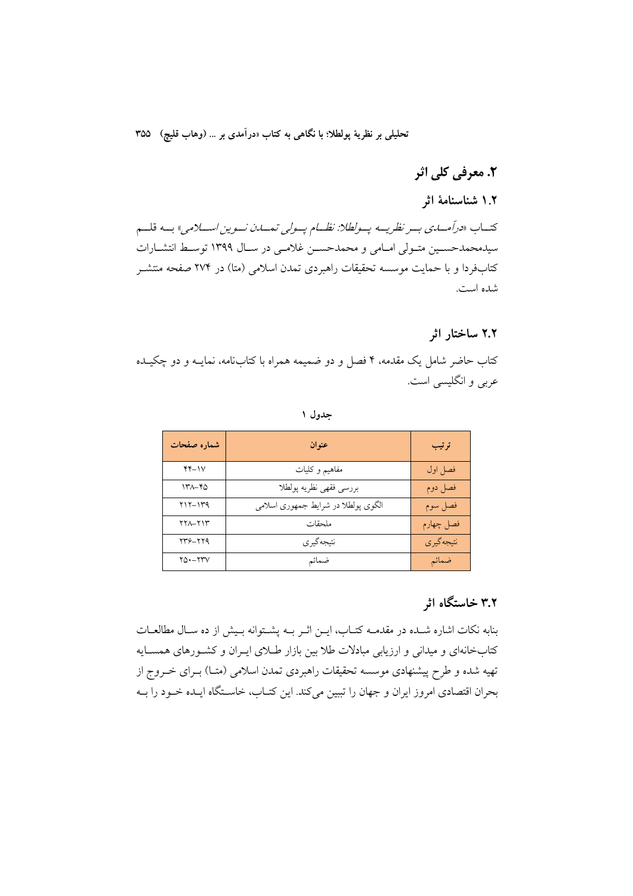# ٢. معرفي کلي اثر

# ۱.۲ شناسنامهٔ اثر

كتـــاب «درآمـــايني بـــر نظريـــه يـــولطلا: نظـــام يـــولي تمـــان نـــوين اســـلامي» بـــه قلـــم سیدمحمدحسـین متـولی امـامی و محمدحسـن غلامـی در سـال ۱۳۹۹ توسـط انتشـارات کتابفردا و با حمایت موسسه تحقیقات راهبردی تمدن اسلامی (متا) در ۲۷۴ صفحه منتشـر شده است.

#### ۲.۲ ساختار اثر

کتاب حاضر شامل یک مقدمه، ۴ فصل و دو ضمیمه همراه با کتابنامه، نمایــه و دو چکیــده عربی و انگلیسی است.

| д |
|---|
|---|

| شماره صفحات | عنوان                               | ترتيب       |
|-------------|-------------------------------------|-------------|
| $YY - YV$   | مفاهيم وكليات                       | فصل اول     |
| ۱۳۸–۴۵      | بررسي فقهي نظريه پولطلا             | فصل دوم     |
| $Y1Y-1Y9$   | الگوی پولطلا در شرایط جمهوری اسلامی | فصل سوم     |
| $YYA-YYY$   | ملحقات                              | فصل چهارم   |
| 739-779     | نتىجەگىرى                           | نتيجه گير ي |
| $YQ - YYV$  | ضمائم                               | ضمائم       |

# ۳.۲ خاستگاه اثر

بنابه نكات اشاره شـده در مقدمـه كتـاب، ايـن اثـر بـه يشـتوانه بـيش از ده سـال مطالعـات کتابخانهای و میدانی و ارزیابی مبادلات طلا بین بازار طـلای ایـران و کشـورهای همسـایه تهیه شده و طرح پیشنهادی موسسه تحقیقات راهبردی تمدن اسلامی (متــا) بــرای خــروج از بحران اقتصادی امروز ایران و جهان را تببین میکند. این کتـاب، خاسـتگاه ایـده خـود را بـه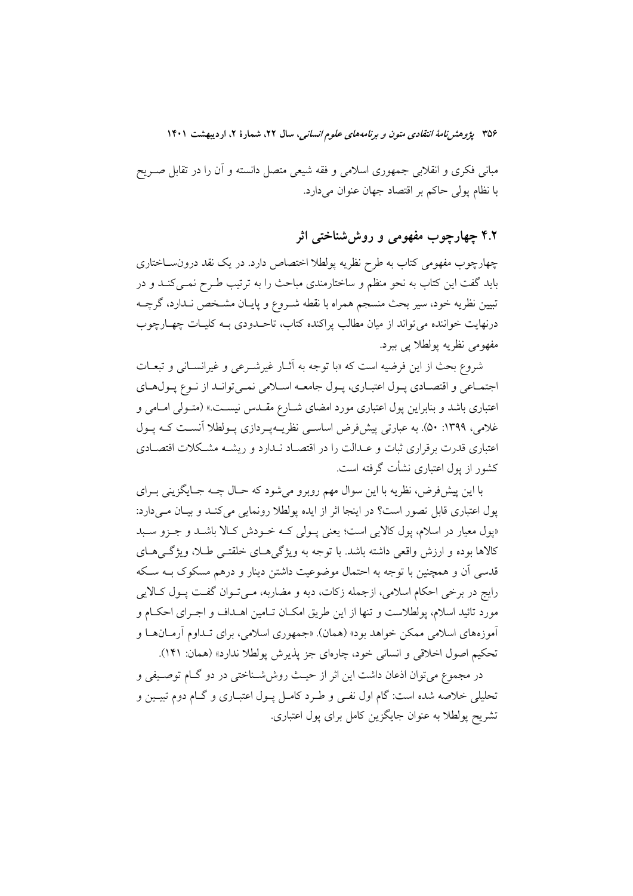مبانی فکری و انقلابی جمهوری اسلامی و فقه شیعی متصل دانسته و آن را در تقابل صـریح با نظام يولي حاكم بر اقتصاد جهان عنوان مي دارد.

# ۴.۲ چهارچوب مفهومی و روششناختی اثر

چهارچوب مفهومی کتاب به طرح نظریه پولطلا اختصاص دارد. در یک نقد درون ساختاری باید گفت این کتاب به نحو منظم و ساختارمندی مباحث را به ترتیب طـرح نمـیکنـد و در تبیین نظریه خود، سیر بحث منسجم همراه با نقطه شـروع و پایـان مشـخص نـدارد، گرچــه درنهایت خواننده می تواند از میان مطالب پراکنده کتاب، تاحـدودی بـه کلیـات چهـارچوب مفهومي نظريه پولطلا پي ببرد.

شروع بحث از این فرضیه است که «با توجه به آثــار غیرشــرعی و غیرانســانی و تبعــات اجتمـاعي و اقتصـادي پـول اعتبـاري، پـول جامعـه اسـلامي نمـيتوانـد از نـوع پـولهـاي اعتباری باشد و بنابراین پول اعتباری مورد امضای شــارع مقــدس نیســت.» (متــولی امــامی و غلامی، ۱۳۹۹: ۵۰). به عبارتی پیشفرض اساسی نظریــهپـردازی پـولطلا آنسـت کـه یـول اعتباری قدرت برقراری ثبات و عـدالت را در اقتصـاد نـدارد و ریشــه مشـكلات اقتصـادی کشور از یول اعتباری نشأت گرفته است.

با اين پيشفرض، نظريه با اين سوال مهم روبرو مي شود كه حـال چــه جــايگزيني بــراي یول اعتباری قابل تصور است؟ در اینجا اثر از ایده پولطلا رونمایی می کنـد و بیـان مـی دارد: «پول معیار در اسلام، پول کالایی است؛ یعنی پـولی کـه خـودش کـالا باشـد و جـزو سـبد کالاها بوده و ارزش واقعی داشته باشد. با توجه به ویژگی هـای خلقتــی طـلا، ویژگــی هــای قدسی اَن و همچنین با توجه به احتمال موضوعیت داشتن دینار و درهم مسکوک بــه ســکه رايج در برخي احكام اسلامي، ازجمله زكات، ديه و مضاربه، مـي تـوان گفـت يـول كـالايي مورد تائید اسلام، پولطلاست و تنها از این طریق امکـان تــامین اهــداف و اجــرای احکــام و آموزههای اسلامی ممکن خواهد بود» (همان). «جمهوری اسلامی، برای تـداوم آرمـانهـا و تحکیم اصول اخلاقی و انسانی خود، چارهای جز پذیرش پولطلا ندارد» (همان: ۱۴۱).

در مجموع می توان اذعان داشت این اثر از حیـث روش(شـناختی در دو گــام توصــیفی و تحلیلی خلاصه شده است: گام اول نفـی و طـرد کامـل پـول اعتبـاری و گــام دوم تبيـين و تشریح پولطلا به عنوان جایگزین کامل برای پول اعتباری.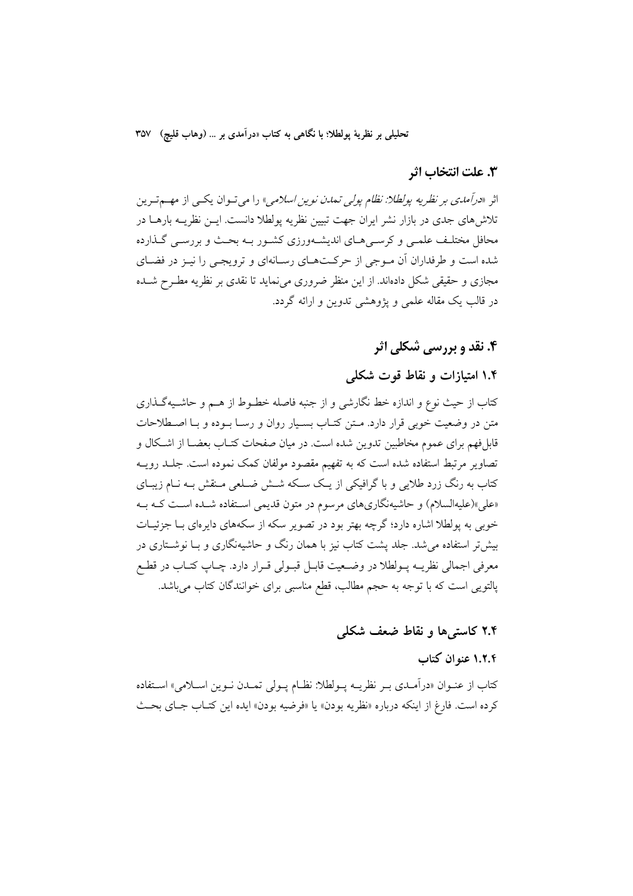تحليلي بر نظرية يولطلا؛ با نگاهي به كتاب «درآمدي بر … (وهاب قليچ) ٣٥٧

#### 3. علت انتخاب اثر

اثر «*درآمدي بر نظريه يولطلا: نظام يولي تمدن نوين اسلامي» د*ا مي تــوان يكــي از مهــم تــرين تلاش های جدی در بازار نشر ایران جهت تبیین نظریه پولطلا دانست. ایــن نظریــه بارهــا در محافل مختلـف علمـی و کرسـی هـای اندیشـهورزی کشـور بـه بحـث و بررسـی گـذارده شده است و طرفداران آن مـوجي از حركـتهـاي رسـانهاي و ترويجـي را نيـز در فضـاي مجازی و حقیقی شکل دادهاند. از این منظر ضروری می نماید تا نقدی بر نظریه مطـرح شــده در قالب یک مقاله علمی و یژوهشی تدوین و ارائه گردد.

# ۴. نقد و بررسی شکلی اثر

# ۱.۴ امتیازات و نقاط قوت شکلی

كتاب از حيث نوع و اندازه خط نگارشي و از جنبه فاصله خطـوط از هــم و حاشـيهگـذاري متن در وضعیت خوبی قرار دارد. مـتن کتـاب بسـیار روان و رسـا بـوده و بـا اصـطلاحات قابلفهم برای عموم مخاطبین تدوین شده است. در میان صفحات کتــاب بعضــا از اشــکال و تصاویر مرتبط استفاده شده است که به تفهیم مقصود مولفان کمک نموده است. جلـد رویــه کتاب به رنگ زرد طلایی و با گرافیکی از یک سکه شــش ضــلعی مــنقش بــه نــام زیبــای «علی»(علیهالسلام) و حاشیهنگاریهای مرسوم در متون قدیمی استفاده شـده اسـت کـه بـه خوبی به پولطلا اشاره دارد؛ گرچه بهتر بود در تصویر سکه از سکههای دایرهای بـا جزئیـات بیش تر استفاده می شد. جلد پشت کتاب نیز با همان رنگ و حاشیهنگاری و بـا نوشــتاری در معرفي اجمالي نظريــه پــولطلا در وضــعيت قابــل قبــولي قــرار دارد. چــاپ كتــاب در قطــع پالتویی است که با توجه به حجم مطالب، قطع مناسبی برای خوانندگان کتاب میباشد.

# ۲.۴ کاستی ها و نقاط ضعف شکله ِ

### ١.٢.٤ عنه ان كتاب

كتاب از عنــوان «درآمــدي بــر نظريــه پــولطلا: نظــام پــولي تمــدن نــوين اســلامي» اســتفاده كرده است. فارغ از اينكه درباره «نظريه بودن» يا «فرضيه بودن» ايده اين كتـاب جـاي بحـث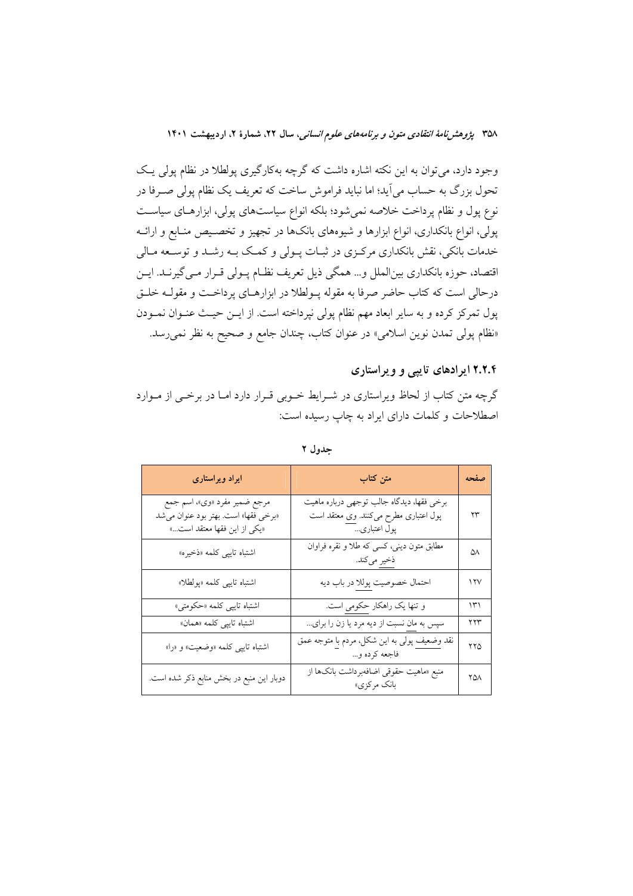وجود دارد، می توان به این نکته اشاره داشت که گرچه بهکارگیری پولطلا در نظام پولی یک تحول بزرگ به حساب می آید؛ اما نباید فراموش ساخت که تعریف یک نظام پولی صـرفا در نوع پول و نظام پرداخت خلاصه نمی شود؛ بلکه انواع سیاستهای پولی، ابزارهـای سیاسـت پولی، انواع بانکداری، انواع ابزارها و شیوههای بانکها در تجهیز و تخصـیص منـابع و ارائــه خدمات بانکی، نقش بانکداری مرکـزی در ثبـات پــولی و کمـک بــه رشــد و توســعه مــالی اقتصاد، حوزه بانکداری بینالملل و… همگی ذیل تعریف نظـام پـولی قـرار مـی گیرنـد. ایـن درحالی است که کتاب حاضر صرفا به مقوله پــولطلا در ابزارهــای پرداخــت و مقولــه خلــق پول تمرکز کرده و به سایر ابعاد مهم نظام پولی نپرداخته است. از ایــن حیــث عنــوان نمــودن «نظام پولی تمدن نوین اسلامی» در عنوان کتاب، چندان جامع و صحیح به نظر نمی رسد.

#### ۲.۲.۴ ایر ادهای تایبی و ویر استاری

گرچه متن کتاب از لحاظ ویراستاری در شـرایط خـوبی قـرار دارد امـا در برخـی از مـوارد اصطلاحات و کلمات دارای ایراد به چاپ رسیده است:

| ایراد ویراستاری                                                                                      | متن کتاب                                                                                          | صفحه |
|------------------------------------------------------------------------------------------------------|---------------------------------------------------------------------------------------------------|------|
| مرجع ضمیر مفرد «وی»، اسم جمع<br>«برخي فقها» است. بهتر بود عنوان مي شد<br>«یکی از این فقها معتقد است» | برخی فقها، دیدگاه جالب توجهی درباره ماهیت<br>پول اعتباری مطرح میکنند. وی معتقد است<br>پول اعتباري | ۲۳   |
| اشتباه تايبي كلمه «ذخيره»                                                                            | مطابق متون دینی، کسی که طلا و نقره فراوان<br>ذخير مي كند.                                         | ۵۸   |
| اشتباه تايبي كلمه «پولطلا»                                                                           | احتمال خصوصيت پوللا در باب ديه                                                                    | 11V  |
| اشتب <mark>اه تايپي كلمه «حكومتى»</mark>                                                             | و تنها یک راهکار حکومی است.                                                                       | ۱۳۱  |
| اشتباه تايپي كلمه «همان»                                                                             | سپس به مان نسبت از دیه مرد یا زن را برای                                                          | ۲۲۳  |
| اشتباه تایپی کلمه «وضعیت» و «را»                                                                     | نقد وضعیف پولی به این شکل، مردم با متوجه عمق<br>فاجعه كرده و…                                     | ۲۲۵  |
| دوبار این منبع در بخش منابع ذکر شده است.                                                             | منبع «ماهيت حقوقى اضافهبرداشت بانكها از<br>بانک مرکزی»                                            | ۲۵۸  |

جدول ۲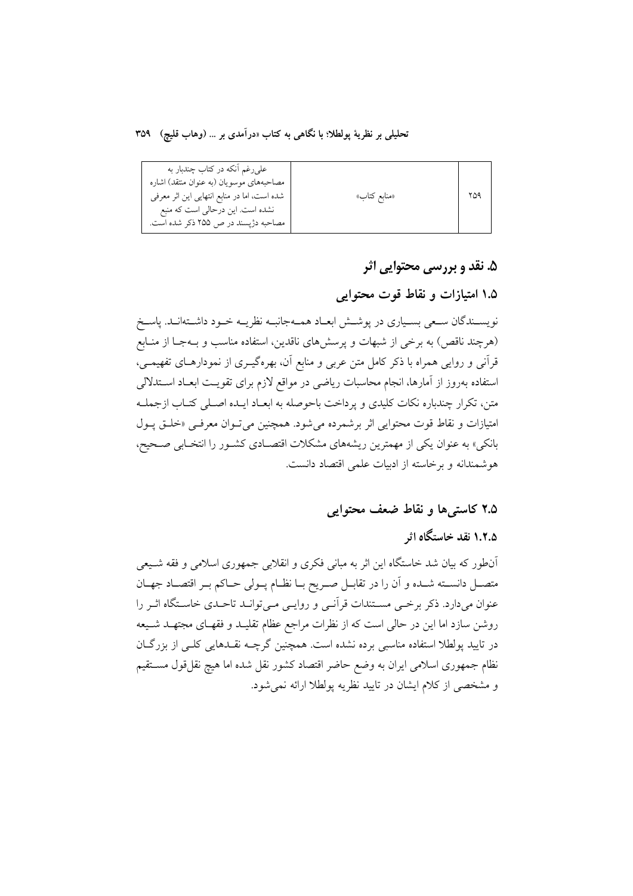تحليلي بر نظرية يولطلا؛ با نگاهي به كتاب «درآمدي بر … (وهاب قليچ) ٣٥٩

| علىرغم آنكه در كتاب چندبار به<br>مصاحبههای موسویان (به عنوان منتقد) اشاره<br>شده است، اما در منابع انتهایی این اثر معرفی | «منابع كتاب» |  |
|--------------------------------------------------------------------------------------------------------------------------|--------------|--|
| نشده است. این درحالی است که منبع<br>مصاحبه دژپسند در ص ۲۵۵ ذکر شده است.                                                  |              |  |

### ۵. نقد و بررسی محتوایی اثر

# ۱.۵ امتیازات و نقاط قوت محتوایی

نویسـندگان سـعي بسـياري در پوشـش ابعـاد همـهجانبـه نظريـه خـود داشـتهانـد. پاسـخ (هرچند ناقص) به برخی از شبهات و پرسشهای ناقدین، استفاده مناسب و بـهجـا از منـابع قرآنی و روایی همراه با ذکر کامل متن عربی و منابع آن، بهرهگیــری از نمودارهــای تفهیمــی، استفاده بهروز از آمارها، انجام محاسبات رياضي در مواقع لازم براي تقويت ابعـاد اسـتدلالي متن، تكرار چندباره نكات كليدي و يرداخت باحوصله به ابعـاد ايـده اصـلي كتـاب ازجملـه امتیازات و نقاط قوت محتوایی اثر برشمرده می شود. همچنین می تـوان معرفـی «خلـق پـول بانکی» به عنوان یکی از مهمترین ریشههای مشکلات اقتصـادی کشـور را انتخـابی صـحیح، هوشمندانه و برخاسته از ادبیات علمی اقتصاد دانست.

### ۲.۵ کاستی ها و نقاط ضعف محتوابی

# ۱.۲.۵ نقد خاستگاه اثر

آنطور که بیان شد خاستگاه این اثر به مبانی فکری و انقلابی جمهوری اسلامی و فقه شــیعی متصـل دانســته شــده و آن را در تقابــل صــريح بــا نظــام پــولي حــاكم بــر اقتصــاد جهــان عنوان می دارد. ذکر برخبی مسـتندات قرآنـی و روایـی مـی توانـد تاحـدی خاسـتگاه اثـر را روشن سازد اما این در حالی است که از نظرات مراجع عظام تقلیـد و فقهـای مجتهـد شـیعه در تایید یولطلا استفاده مناسبی برده نشده است. همچنین گرچــه نقــدهایی کلــی از بزرگــان نظام جمهوری اسلامی ایران به وضع حاضر اقتصاد کشور نقل شده اما هیچ نقل،قول مسـتقیم و مشخصی از کلام ایشان در تایید نظریه پولطلا ارائه نمی شود.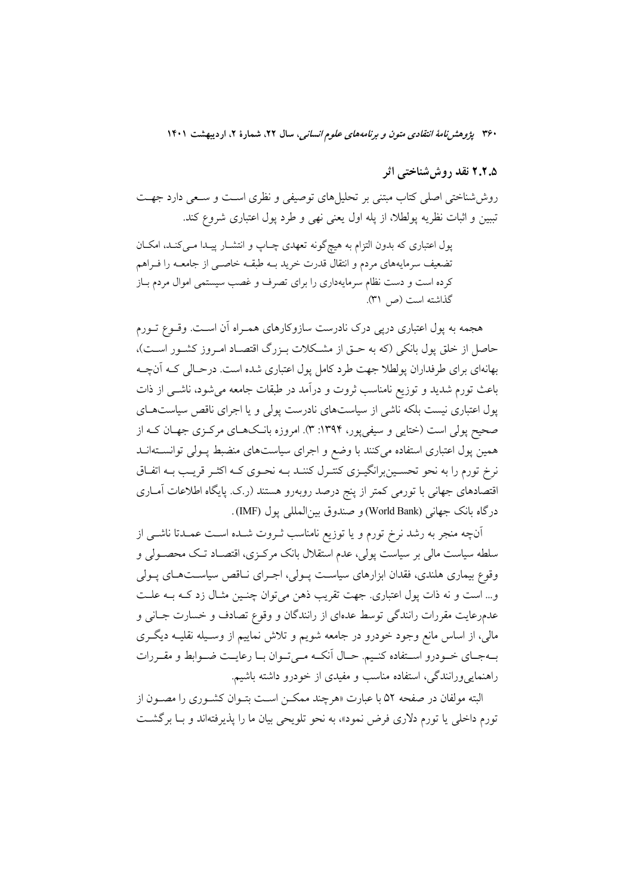### ۲.۲.۵ نقد روش شناختی اثر

روششناختی اصلی کتاب مبتنی بر تحلیلهای توصیفی و نظری است و سـعی دارد جهـت تببین و اثبات نظریه پولطلا، از پله اول یعنی نهی و طرد پول اعتباری شروع کند.

پول اعتباری که بدون التزام به هیچگونه تعهدی چـاپ و انتشـار پیـدا مـیکنـد، امکـان تضعیف سرمایههای مردم و انتقال قدرت خرید بــه طبقــه خاصــی از جامعــه را فــراهم کرده است و دست نظام سرمایهداری را برای تصرف و غصب سیستمی اموال مردم باز گذاشته است (ص ٣١).

هجمه به پول اعتباری درپی درک نادرست سازوکارهای همـراه آن اسـت. وقــوع تــورم حاصل از خلق یول بانکی (که به حـق از مشـکلات بـزرگ اقتصـاد امـروز کشـور اسـت)، بهانهای برای طرفداران پولطلا جهت طرد کامل پول اعتباری شده است. درحـالی کـه آنچـه باعث تورم شدید و توزیع نامناسب ثروت و درآمد در طبقات جامعه می شود، ناشــی از ذات پول اعتباری نیست بلکه ناشی از سیاستهای نادرست پولی و یا اجرای ناقص سیاستهـای صحیح پولی است (ختایی و سیفیپور، ۱۳۹۴: ۳). امروزه بانـکـهـای مرکـزی جهـان کــه از همین پول اعتباری استفاده میکنند با وضع و اجرای سیاستهای منضبط پـولی توانسـتهانــد نرخ تورم را به نحو تحسـينبرانگيــزي كنتــرل كننــد بــه نحــوي كــه اكثــر قريــب بــه اتفــاق اقتصادهای جهانی با تورمی کمتر از پنج درصد روبهرو هستند (ر.ک. پایگاه اطلاعات اَمــاری درگاه بانک جهاني (World Bank) و صندوق بين المللي يول (IMF).

آنچه منجر به رشد نرخ تورم و یا توزیع نامناسب ثـروت شـده اسـت عمـدتا ناشــی از سلطه سیاست مالی بر سیاست پولی، عدم استقلال بانک مرکـزی، اقتصـاد تـک محصـولی و وقوع بیماری هلندی، فقدان ابزارهای سیاست پـولی، اجـرای نـاقص سیاسـتهـای پـولی و... است و نه ذات پول اعتباري. جهت تقريب ذهن مي توان چنـين مثـال زد كـه بـه علـت عدمرعایت مقررات رانندگی توسط عدمای از رانندگان و وقوع تصادف و خسارت جـانی و مالی، از اساس مانع وجود خودرو در جامعه شویم و تلاش نماییم از وسـیله نقلیــه دیگــری بهجاي خـودرو اسـتفاده كنـيم. حـال أنكـه مـىتوان بـا رعايـت ضـوابط و مقـررات راهنمایی ورانندگی، استفاده مناسب و مفیدی از خودرو داشته باشیم.

البته مولفان در صفحه ۵۲ با عبارت «هرچند ممکــن اســت بتــوان کشــوری را مصــون از تورم داخلی یا تورم دلاری فرض نمود»، به نحو تلویحی بیان ما را پذیرفتهاند و بــا برگشــت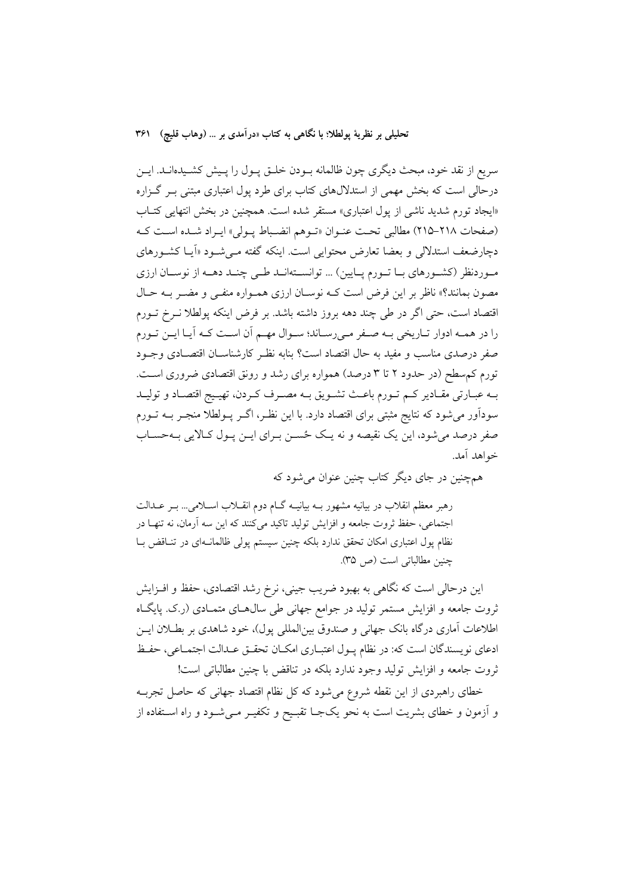سریع از نقد خود، مبحث دیگری چون ظالمانه بـودن خلـق پـول را پـیش کشـیدهانــد. ایــن درحالی است که بخش مهمی از استدلالهای کتاب برای طرد پول اعتباری مبتنی بـر گـزاره «ایجاد تورم شدید ناشی از پول اعتباری» مستقر شده است. همچنین در بخش انتهایی کتـاب (صفحات ٢١٨-٢١٥) مطالبي تحت عنـوان «تـوهم انضـباط پـولي» ايـراد شـده اسـت كـه دچارضعف استدلال<sub>ی</sub> و بعضا تعارض محتوایی است. اینکه گفته مـیشـود «اَیـا کشـورهای مـوردنظر (کشـورهای بــا تــورم پــایین) ... توانســتهانــد طــی چنــد دهــه از نوســان ارزی مصون بمانند؟» ناظر بر این فرض است کـه نوسـان ارزی همـواره منفـی و مضـر بـه حـال اقتصاد است، حتى اگر در طي چند دهه بروز داشته باشد. بر فرض اينكه پولطلا نــرخ تــورم را در همـه ادوار تـاريخي بـه صـفر مـىرسـاند؛ سـوال مهـم اَن اسـت كـه اَيـا ايـن تـورم صفر درصدی مناسب و مفید به حال اقتصاد است؟ بنابه نظـر کارشناســان اقتصــادی وجــود تورم کم سطح (در حدود ۲ تا ۳ درصد) همواره برای رشد و رونق اقتصادی ضروری است. بـه عبـارتي مقـادير كـم تـورم باعـث تشـويق بـه مصـرف كـردن، تهيـيج اقتصـاد و توليـد سودآور میشود که نتایج مثبتی برای اقتصاد دارد. با این نظـر، اگــر پــولطلا منجــر بــه تــورم صفر درصد می شود، این یک نقیصه و نه یـک ځســن بــرای ایــن پــول کــالایی بــهحســاب خواهد آمد.

همچنین در جای دیگر کتاب چنین عنوان می شود که

رهبر معظم انقلاب در بیانیه مشهور بــه بیانیــه گــام دوم انقــلاب اســلامی... بــر عــدالت اجتماعی، حفظ ثروت جامعه و افزایش تولید تاکید میکنند که این سه آرمان، نه تنهـا در نظام پول اعتباری امکان تحقق ندارد بلکه چنین سیستم پولی ظالمانـهای در تنـاقض بـا چنین مطالباتی است (ص ٣۵).

این درحالی است که نگاهی به بهبود ضریب جینی، نرخ رشد اقتصادی، حفظ و افــزایش ثروت جامعه و افزایش مستمر تولید در جوامع جهانی طی سال۵حای متمـادی (ر.ک. پایگــاه اطلاعات اَماری درگاه بانک جهانی و صندوق بینالمللی پول)، خود شاهدی بر بطـلان ایــن ادعاى نويسندگان است كه: در نظام پـول اعتبـاري امكـان تحقـق عـدالت اجتمـاعي، حفـظ ثروت جامعه و افزايش توليد وجود ندارد بلكه در تناقض با چنين مطالباتي است!

خطای راهبردی از این نقطه شروع میشود که کل نظام اقتصاد جهانی که حاصل تجربـه و أزمون و خطاي بشريت است به نحو يکجــا تقبــيح و تکفيــر مــيشــود و راه اســتفاده از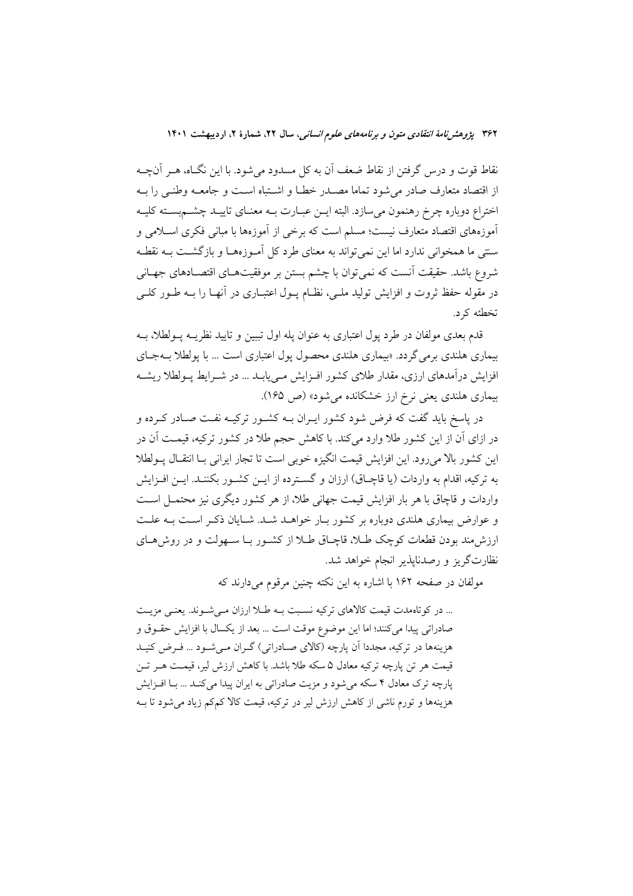نقاط قوت و درس گرفتن از نقاط ضعف آن به کل مسدود میشود. با این نگـاه، هــر آنچــه از اقتصاد متعارف صادر مى شود تماما مصـدر خطـا و اشـتباه اسـت و جامعـه وطنـى را بـه اختراع دوباره چرخ رهنمون مىسازد. البته ايــن عبــارت بــه معنــاي تاييــد چشــم بســته كليــه آموزههای اقتصاد متعارف نیست؛ مسلم است که برخی از آموزهها با مبانی فکری اسـلامی و سنتی ما همخوانی ندارد اما این نمی تواند به معنای طرد کل آمـوزههـا و بازگشـت بــه نقطــه شروع باشد. حقیقت آنست که نمی توان با چشم بستن بر موفقیتهـای اقتصـادهای جهـانی در مقوله حفظ ثروت و افزایش تولید ملـی، نظـام پـول اعتبــاری در آنهــا را بــه طــور کلــی تخطئه کر د.

قدم بعدی مولفان در طرد پول اعتباری به عنوان یله اول تببین و تایید نظریــه پــولطلا، بــه بیماري هلندي برمي گردد. «بیماري هلندي محصول يول اعتباري است ... با يولطلا بــهجــاي افزایش درآمدهای ارزی، مقدار طلای کشور افـزایش مـیbیابـد ... در شـرایط پـولطلا ریشـه بیماری هلندی یعنی نرخ ارز خشکانده می شود» (ص ۱۶۵).

در پاسخ باید گفت که فرض شود کشور ایــران بــه کشــور ترکیــه نفــت صــادر کــرده و در ازای آن از این کشور طلا وارد می کند. با کاهش حجم طلا در کشور ترکیه، قیمت آن در این کشور بالا می رود. این افزایش قیمت انگیزه خوبی است تا تجار ایرانی بـا انتقـال پــولطلا به ترکیه، اقدام به واردات (یا قاچــاق) ارزان و گســترده از ایــن کشــور بکننــد. ایــن افــزایش واردات و قاچاق با هر بار افزایش قیمت جهانی طلا، از هر کشور دیگری نیز محتمــل اســت و عوارض بیماری هلندی دوباره بر کشور بـار خواهـد شـد. شـایان ذکـر اسـت بـه علـت ارزش مند بودن قطعات کوچک طـلا، قاچـاق طـلا از کشـور بـا سـهولت و در روش هـای نظارتگریز و رصدناپذیر انجام خواهد شد.

مولفان در صفحه ۱۶۲ با اشاره به این نکته چنین مرقوم می دارند که

... در کوتاهمدت قیمت کالاهای ترکیه نسبت بـه طـلا ارزان مـی شـوند. یعنـی مزیـت صادراتي پيدا مي كنند؛ اما اين موضوع موقت است ... بعد از يكسال با افزايش حقـوق و هزینهها در ترکیه، مجددا آن پارچه (کالای صـادراتی) گـران مـیشـود ... فـرض کنیـد قیمت هر تن پارچه ترکیه معادل ۵ سکه طلا باشد. با کاهش ارزش لیر، قیمـت هـر تـن پارچه ترک معادل ۴ سکه می شود و مزیت صادراتی به ایران پیدا می کنـد ... بـا افـزایش هزینهها و تورم ناشی از کاهش ارزش لیر در ترکیه، قیمت کالا کمکم زیاد می شود تا بــه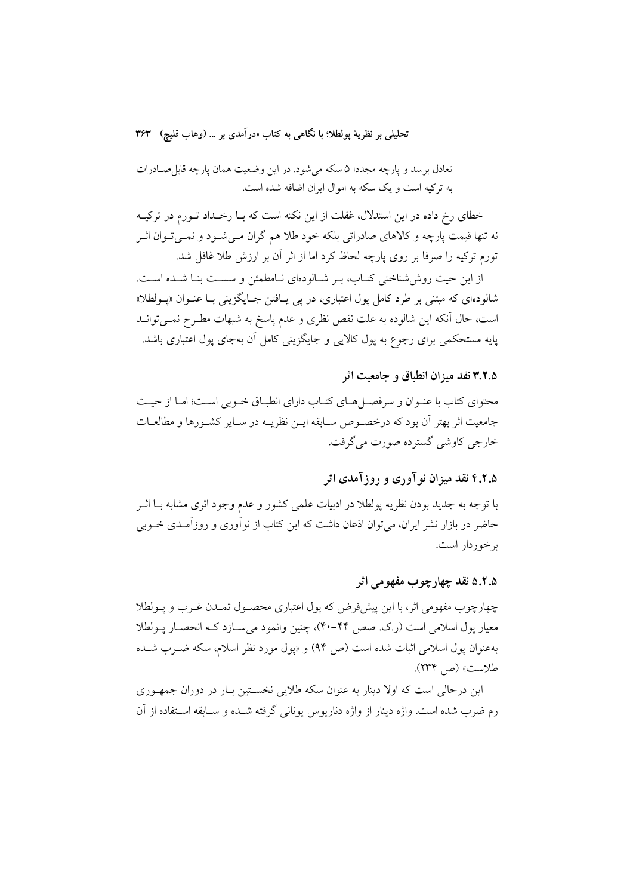تعادل برسد و پارچه مجددا ۵ سکه میشود. در این وضعیت همان پارچه قابل صـادرات به ترکیه است و یک سکه به اموال ایران اضافه شده است.

خطای رخ داده در این استدلال، غفلت از این نکته است که بـا رخـداد تـورم در ترکیـه نه تنها قیمت یارچه و کالاهای صادراتی بلکه خود طلا هم گران مـی شـود و نمـی تـوان اثـر تورم ترکیه را صرفا بر روی پارچه لحاظ کرد اما از اثر آن بر ارزش طلا غافل شد.

از این حیث روش شناختی کتـاب، بـر شـالودهای نـامطمئن و سسـت بنـا شـده اسـت. شالودهاي كه مبتني بر طرد كامل يول اعتباري، در يې پــافتن جــايگزيني بــا عنــوان «پــولطلا» است، حال أنكه اين شالوده به علت نقص نظري و عدم ياسخ به شبهات مطـرح نمــي توانــد پایه مستحکم*ی* برای رجوع به پول کالایی و جایگزینی کامل آن بهجای پول اعتباری باشد.

#### ۳.۲.۵ نقد میزان انطباق و جامعیت اثر

محتواي كتاب با عنـوان و سرفصـــا هــاي كتــاب داراي انطبــاق خــوبي اســت؛ امــا از حيــث جامعيت اثر بهتر أن بود كه درخصـوص سـابقه ايــن نظريــه در ســاير كشــورها و مطالعــات خارجي کاوشي گسترده صورت مي گرفت.

## ۶.۶.۵ نقد میزان نو آوری و روز آمدی اثر

با توجه به جدید بودن نظریه پولطلا در ادبیات علمی کشور و عدم وجود اثری مشابه بــا اثــر حاضر در بازار نشر ایران، می توان اذعان داشت که این کتاب از نوآوری و روزآمـدی خــوبی بر خوردار است.

#### ۵.۲.۵ نقد چهارچو ب مفهو می اثر

چهارچوب مفهومی اثر، با این پیشفرص که یول اعتباری محصـول تمـدن غـرب و پـولطلا معيار يول اسلامي است (ر.ک. صص ۴۴-۴۰)، چنين وانمود مي سـازد کـه انحصـار پـولطلا بهعنوان يول اسلامي اثبات شده است (ص ٩۴) و «يول مورد نظر اسلام، سكه ضـرب شـده طلاست» (ص ۲۳۴).

این درحالی است که اولا دینار به عنوان سکه طلایی نخسـتین بـار در دوران جمهـوری رم ضرب شده است. واژه دینار از واژه دناریوس یونانی گرفته شــده و ســابقه اســتفاده از آن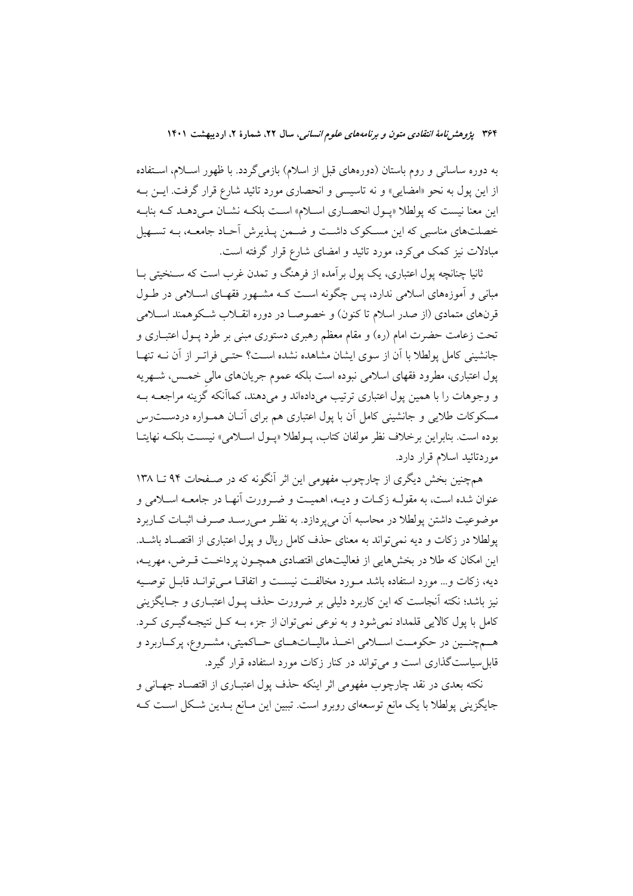به دوره ساسانی و روم باستان (دورههای قبل از اسلام) بازمیگردد. با ظهور اســلام، اســتفاده از این پول به نحو «امضایی» و نه تاسیسی و انحصاری مورد تائید شارع قرار گرفت. ایـن بـه این معنا نیست که پولطلا «پـول انحصـاری اسـلام» اسـت بلکـه نشـان مـیدهـد کـه بنابـه خصلتهای مناسبی که این مسکوک داشت و ضمن پـذیرش آحـاد جامعـه، بـه تسـهیل مبادلات نیز کمک میکرد، مورد تائید و امضای شارع قرار گرفته است.

ثانیا چنانچه یول اعتباری، یک یول بر آمده از فرهنگ و تمدن غرب است که سـنخیتی بــا مبانی و آموزههای اسلامی ندارد، پس چگونه است کـه مشـهور فقهـای اسـلامی در طـول قرنهای متمادی (از صدر اسلام تا کنون) و خصوصـا در دوره انقــلاب شــکوهمند اســلامی تحت زعامت حضرت امام (ره) و مقام معظم رهبری دستوری مبنی بر طرد پــول اعتبــاری و جانشینی کامل یولطلا با آن از سوی ایشان مشاهده نشده است؟ حتبی فراتبر از آن نــه تنهـا پول اعتباری، مطرود فقهای اسلامی نبوده است بلکه عموم جریانهای مالی خمــس، شــهریه و وجوهات را با همین پول اعتباری ترتیب میدادهاند و میدهند، کماأنکه گزینه مراجعــه بــه مسکوکات طلایی و جانشینی کامل آن با پول اعتباری هم برای آنـان همـواره دردســتـرس بوده است. بنابراين برخلاف نظر مولفان كتاب، يـولطلا «يـول اسـلامي» نيسـت بلكـه نهايتـا موردتائيد اسلام قرار دارد.

همچنین بخش دیگری از چارچوب مفهومی این اثر آنگونه که در صـفحات ۹۴ تــا ۱۳۸ عنوان شده است، به مقولـه زكـات و ديـه، اهميـت و ضـرورت أنهـا در جامعـه اسـلامي و موضوعيت داشتن پولطلا در محاسبه آن مىپردازد. به نظـر مـىرســد صــرف اثبــات كــاربرد یولطلا در زکات و دیه نمی تواند به معنای حذف کامل ریال و یول اعتباری از اقتصـاد باشـد. این امکان که طلا در بخشهایی از فعالیتهای اقتصادی همچـون پرداخـت قـرض، مهریــه، دیه، زكات و... مورد استفاده باشد مـورد مخالفـت نیسـت و اتفاقـا مـی توانـد قابـل توصـیه نیز باشد؛ نکته آنجاست که این کاربرد دلیلی بر ضرورت حذف پــول اعتبــاری و جــایگزینی کامل با پول کالایی قلمداد نمی شود و به نوعی نمی توان از جزء بـه کــل نتیجــه گیــری کــرد. هـمچنـین در حکومـت اسـلامی اخـذ مالیـاتهـای حـاکمیتی، مشـروع، پرکـاربرد و .<br>قابل سیاست گذاری است و می تواند در کنار زکات مورد استفاده قرار گیرد.

نکته بعدی در نقد چارچوب مفهومی اثر اینکه حذف یول اعتبــاری از اقتصــاد جهــانی و جایگزینی پولطلا با یک مانع توسعهای روبرو است. تببین این مـانع بـدین شـکل اسـت کـه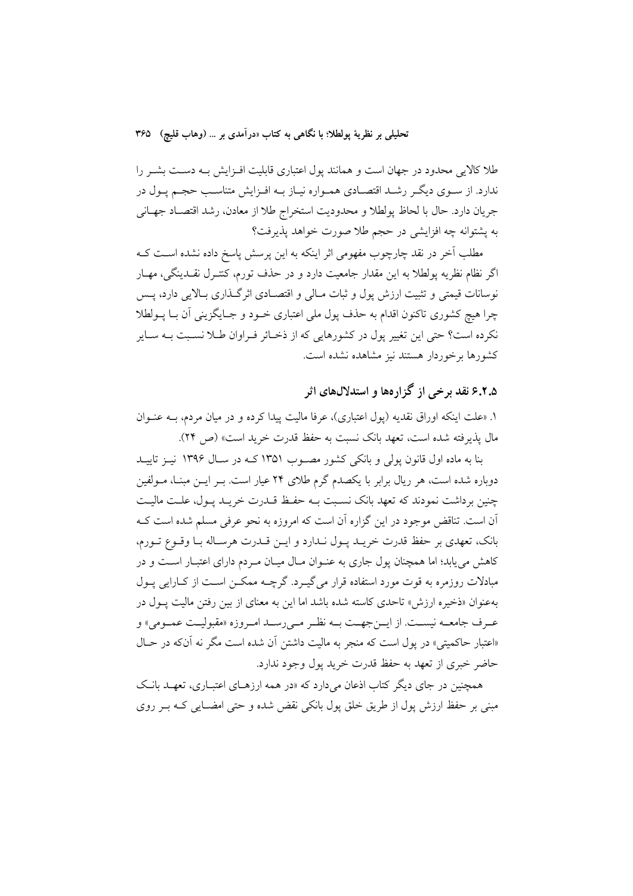تحليلي بر نظرية يولطلا؛ با نگاهي به كتاب «درآمدي بر … (وهاب قليچ) ٣۶۵

طلا کالایی محدود در جهان است و همانند پول اعتباری قابلیت افـزایش بـه دسـت بشـر را ندارد. از سـوى ديگـر رشـد اقتصـادي همـواره نيـاز بـه افـزايش متناسـب حجـم يـول در جريان دارد. حال با لحاظ پولطلا و محدوديت استخراج طلا از معادن، رشد اقتصـاد جهـاني به يشتوانه چه افزايشي در حجم طلا صورت خواهد يذيرفت؟

مطلب آخر در نقد چارچوب مفهومی اثر اینکه به این پرسش پاسخ داده نشده اسـت کــه اگر نظام نظریه پولطلا به این مقدار جامعیت دارد و در حذف تورم، کنتـرل نقــدینگی، مهــار نوسانات قیمتی و تثبیت ارزش پول و ثبات مـالی و اقتصـادی اثر گـذاری بـالایی دارد، پــس چرا هیچ کشوری تاکنون اقدام به حذف پول ملی اعتباری خـود و جـایگزینی آن بـا پــولطلا .<br>نکرده است؟ حتى اين تغيير يول در کشورهايي که از ذخـائر فـراوان طــلا نسـبت بــه ســاير كشورها برخوردار هستند نيز مشاهده نشده است.

# ۶.۲.۵ نقد برخی از گزارهها و استدلالهای اثر

۱. «علت اینکه اوراق نقدیه (پول اعتباری)، عرفا مالیت پیدا کرده و در میان مردم، بــه عنــوان مال يذير فته شده است، تعهد بانك نسبت به حفظ قدرت خريد است» (ص ٢۴).

بنا به ماده اول قانون یولی و بانکی کشور مصـوب ۱۳۵۱ کـه در سـال ۱۳۹۶ نیـز تاییـد دوباره شده است، هر ریال برابر با یکصدم گرم طلای ۲۴ عیار است. بـر ایــن مبنــا، مــولفین چنین برداشت نمودند که تعهد بانک نسـبت بـه حفـظ قــدرت خریــد پــول، علــت مالیــت ۔<br>اَن است. تناقض موجود در این گزاره اَن است که امروزه به نحو عرفی مسلم شده است کــه بانک، تعهدی بر حفظ قدرت خریـد پـول نـدارد و ایـن قـدرت هرسـاله بـا وقـوع تـورم، کاهش می یابد؛ اما همچنان پول جاری به عنـوان مـال میـان مـردم دارای اعتبـار اسـت و در مبادلات روزمره به قوت مورد استفاده قرار می گیـرد. گرچــه ممکــن اســت از کــارایی پــول بهعنوان «ذخیره ارزش» تاحدی کاسته شده باشد اما این به معنای از بین رفتن مالیت پــول در عـرف جامعــه نيســت. از ايــنجهــت بــه نظـر مــيرســد امــروزه «مقبوليــت عمــومي» و «اعتبار حاكميتي» در يول است كه منجر به ماليت داشتن أن شده است مگر نه آنكه در حـال حاضر خبري از تعهد به حفظ قدرت خريد پول وجود ندارد.

همچنین در جای دیگر کتاب اذعان می دارد که «در همه ارزهـای اعتبـاری، تعهـد بانـک مبنی بر حفظ ارزش پول از طریق خلق پول بانکی نقض شده و حتی امضـایی کـه بـر روی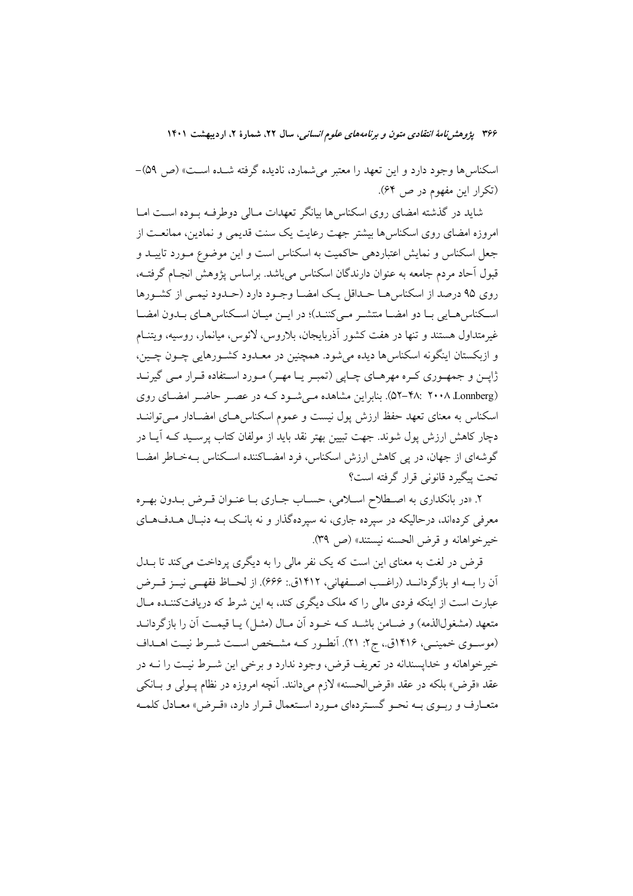اسکناس ها وجود دارد و این تعهد را معتبر می شمارد، نادیده گرفته شـده اسـت» (ص ۵۹)-(تکرار این مفهوم در ص ۶۴).

شاید در گذشته امضای روی اسکناس ها بیانگر تعهدات مـالی دوطرفـه بـوده اسـت امـا امروزه امضای روی اسکناسها بیشتر جهت رعایت یک سنت قدیمی و نمادین، ممانعت از جعل اسکناس و نمایش اعتباردهی حاکمیت به اسکناس است و این موضوع مـورد تاییــد و قبول آحاد مردم جامعه به عنوان دارندگان اسکناس می باشد. براساس یژوهش انجـام گرفتـه، روی ۹۵ درصد از اسکناسهـا حـداقل یـک امضـا وجـود دارد (حـدود نیمـی از کشـورها اسكناس هـايي بـا دو امضـا منتشـر مـي كننـد)؛ در ايـن ميـان اسـكناس هـاي بـدون امضـا غیرمتداول هستند و تنها در هفت کشور آذربایجان، بلاروس، لائوس، میانمار، روسیه، ویتنــام و ازبکستان اینگونه اسکناس ها دیده می شود. همچنین در معبدود کشورهایی چیون چیبن، ژاپـن و جمهـوري كـره مهرهـاي چـاپي (تمبـر يـا مهـر) مـورد اسـتفاده قـرار مـي گيرنـد (۵۲–۴۸: ۲۰۰۸ Lonnberg). بنابراین مشاهده می شـود کـه در عصـر حاضـر امضـای روی اسکناس به معنای تعهد حفظ ارزش پول نیست و عموم اسکناس هـای امضـادار مـیتواننــد دچار کاهش ارزش پول شوند. جهت تبیین بهتر نقد باید از مولفان کتاب پرسـید کــه آیــا در گوشهای از جهان، در پی کاهش ارزش اسکناس، فرد امضـاکننده اسـکناس بـهخـاطر امضـا تحت پیگیرد قانونی قرار گرفته است؟

۲. «در بانکداری به اصطلاح اسلامی، حساب جـاری بـا عنـوان قـرض بـدون بهـره معرفی کردهاند، درحالیکه در سپرده جاری، نه سپردهگذار و نه بانک بـه دنبـال هــدفهـای خير خواهانه و قرض الحسنه نيستند» (ص ٣٩).

قرض در لغت به معنای این است که یک نفر مالی را به دیگری پرداخت میکند تا بــدل آن را بـه او بازگردانــد (راغــب اصــفهاني، ١٤١٢ق: ۶۶۶). از لحــاظ فقهــي نيــز قــرض عبارت است از اینکه فردی مالی را که ملک دیگری کند، به این شرط که دریافتکننـده مـال متعهد (مشغولالذمه) و ضـامن باشـد كـه خـود أن مـال (مثـل) يـا قيمـت أن را بازگردانـد (موسـوي خمينـي، ١٤١۶ق.، ج٢: ٢١). أنطـور كـه مشـخص اسـت شـرط نيـت اهـداف خيرخواهانه و خدايسندانه در تعريف قرض، وجود ندارد و برخي اين شـرط نيـت را نــه در عقد «قرض» بلكه در عقد «قرض[لحسنه» لازم مي دانند. آنچه امروزه در نظام يــولى و بــانكـي متعبارف و ریبوی په نحبو گستردهای مورد استعمال قبرار دارد، «قبرض» معبادل کلمیه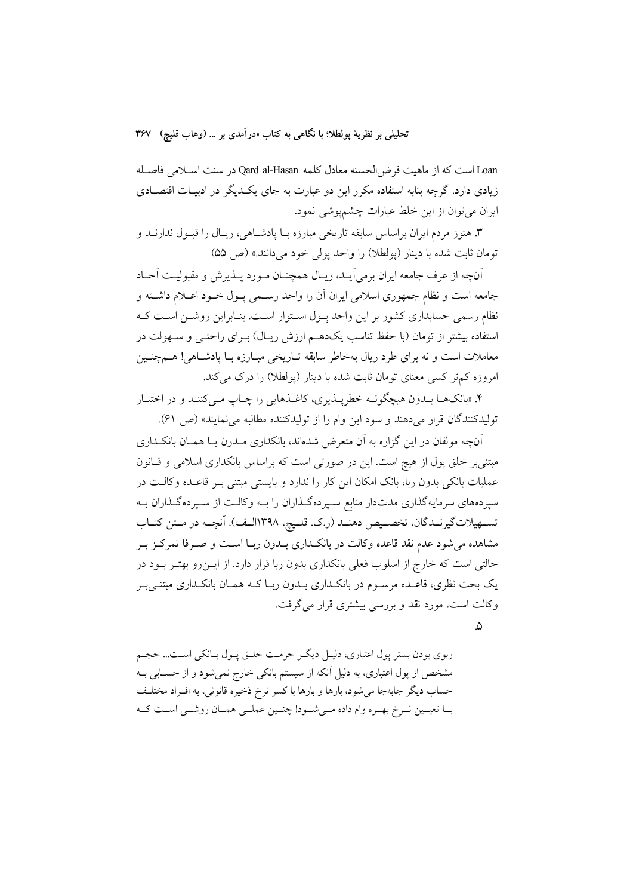Loan است كه از ماهيت قرض الحسنه معادل كلمه Qard al-Hasan در سنت اسلامي فاصله زیادی دارد. گرچه بنابه استفاده مکرر این دو عبارت به جای یک دیگر در ادبیـات اقتصــادی ایران می توان از این خلط عبارات چشمپوشی نمود.

۳. هنوز مردم ايران براساس سابقه تاريخي مبارزه بــا يادشــاهي، ريــال را قبــول ندارنــد و تومان ثابت شده با دينار (پولطلا) را واحد پول<sub>ی</sub> خود میدانند.» (ص ۵۵)

آنچه از عرف جامعه ایران برمی آیید، ریبال همچنیان میورد پیذیرش و مقبولیت آحیاد جامعه است و نظام جمهوري اسلامي ايران آن را واحد رسـمي پـول خـود اعـلام داشـته و نظام رسمی حسابداری کشور بر این واحد پـول اسـتوار اسـت. بنـابراین روشـن اسـت کـه استفاده بیشتر از تومان (با حفظ تناسب یکدهــم ارزش ریــال) بــرای راحتــی و ســهولت در معاملات است و نه برای طرد ریال بهخاطر سابقه تـاریخی مبـارزه بـا پادشـاهی! هــمچنـین امروزه کمتر کسی معنای تومان ثابت شده با دینار (پولطلا) را درک می کند.

۴. «بانکھـا بــدون هيچگونــه خطريــذيري، کاغــذهايي را چــاپ مــي کننــد و در اختيــار تولیدکنندگان قرار میدهند و سود این وام را از تولیدکننده مطالبه می نمایند» (ص ۶۱).

آنچه مولفان در این گزاره به آن متعرض شدهاند، بانکداری مــدرن یــا همــان بانکــداری مبتنی بر خلق پول از هیچ است. این در صورتی است که براساس بانکداری اسلامی و قـانون عملیات بانکی بدون ربا، بانک امکان این کار را ندارد و بایستی مبتنی بـر قاعـده وکالـت در سپردههای سرمایهگذاری مدتدار منابع سپردهگذاران را بـه وکالـت از سـپردهگـذاران بـه تسهيلاتگيرنـدگان، تخصـيص دهنـد (ر.ک. قلـيچ، ١٣٩٨الـف). آنچـه در مـتن كتـاب مشاهده می شود عدم نقد قاعده وکالت در بانکـداری بـدون ربـا اسـت و صـرفا تمرکـز بـر حالتی است که خارج از اسلوب فعلی بانکداری بدون ربا قرار دارد. از ایــن(و بهتـر بــود در یک بحث نظری، قاعـده مرســوم در بانکــداری بــدون ربــا کــه همــان بانکــداری مبتنــی بــر وكالت است، مورد نقد و بررسي بيشتري قرار مي گرفت.

 $\Delta$ 

ربوي بودن بستر پول اعتباري، دليـل ديگـر حرمـت خلـق پـول بـانكي اسـت... حجـم مشخص از پول اعتباری، به دلیل آنکه از سیستم بانکی خارج نمیشود و از حسـابی بـه حساب دیگر جابهجا میشود، بارها و بارها با کسر نرخ ذخیره قانونی، به افـراد مختلـف بـا تعيـين نـرخ بهـره وام داده مـيشـود! چنـين عملـي همـان روشـي اسـت كـه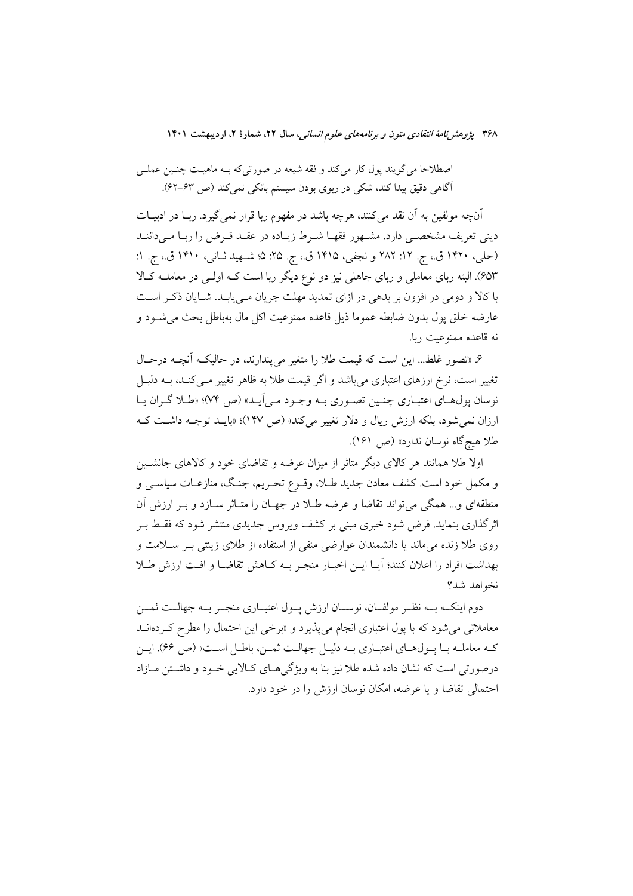اصطلاحا مي گويند پول كار مي كند و فقه شيعه در صورتي كه بـه ماهيـت چنـين عملـي آگاهی دقیق پیدا کند، شکی در ربوی بودن سیستم بانکی نمیکند (ص ۶۳–۶۲).

آنچه مولفین به آن نقد می کنند، هرچه باشد در مفهوم ربا قرار نمی گیرد. ربــا در ادبیــات دینی تعریف مشخصـی دارد. مشـهور فقهـا شـرط زیـاده در عقـد قـرض را ربـا مـیداننـد (حلي، ١٤٢٠ ق.، ج. ١٢: ٢٨٢ و نجفي، ١٤١٥ ق.، ج. ٢۵: ٥؛ شـهيد ثـاني، ١٤١٠ ق.، ج. ١: ۶۵۳). البته ربای معاملی و ربای جاهلی نیز دو نوع دیگر ربا است کـه اولـی در معاملـه کـالا با کالا و دومی در افزون بر بدهی در ازای تمدید مهلت جریان مهی پابـد. شــایان ذکـر اسـت عارضه خلق يول بدون ضابطه عموما ذيل قاعده ممنوعيت اكل مال بهباطل بحث مى شــود و نه قاعده ممنوعیت ربا.

۶. «تصور غلط... این است که قیمت طلا را متغیر می پندارند، در حالیکه آنچـه درحـال تغییر است، نرخ ارزهای اعتباری می باشد و اگر قیمت طلا به ظاهر تغییر مـی کنـد، بــه دلیــل نوسان پول هـاي اعتبــاري چنــين تصــوري بــه وجــود مــي اَيــد» (ص ٧۴)؛ «طــلا گــران يــا ارزان نمی شود، بلکه ارزش ریال و دلار تغییر می کند» (ص ۱۴۷)؛ «بایــد توجــه داشــت کــه طلا هيچگاه نوسان ندارد» (ص ١۶١).

اولا طلا همانند هر کالای دیگر متاثر از میزان عرضه و تقاضای خود و کالاهای جانشـین و مکمل خود است. کشف معادن جدید طـلا، وقــوع تحـریم، جنـگ، منازعــات سیاســی و منطقهای و… همگی می تواند تقاضا و عرضه طـلا در جهـان را متـاثر سـازد و بـر ارزش آن اثرگذاری بنماید. فرض شود خبری مبنی بر کشف ویروس جدیدی منتشر شود که فقـط بـر روی طلا زنده می ماند یا دانشمندان عوارضی منفی از استفاده از طلای زینتی بـر سـلامت و بهداشت افراد را اعلان کنند؛ آیــا ایــن اخبــار منجـر بــه کــاهش تقاضــا و افــت ارزش طــلا نخواهد شد؟

دوم اینکــه بــه نظــر مولفــان، نوســان ارزش پــول اعتبــاري منجــر بــه جهالــت ثمــن معاملاتی می شود که با پول اعتباری انجام می پذیرد و «برخی این احتمال را مطرح کـردهانــد کـه معاملـه بـا يـولهـاي اعتبـاري بـه دليـل جهالـت ثمـن، باطـل اسـت» (ص ۶۶). ايـن درصورتي است كه نشان داده شده طلا نيز بنا به ويژگي هـاي كـالايي خـود و داشــتن مــازاد احتمالی تقاضا و یا عرضه، امکان نوسان ارزش را در خود دارد.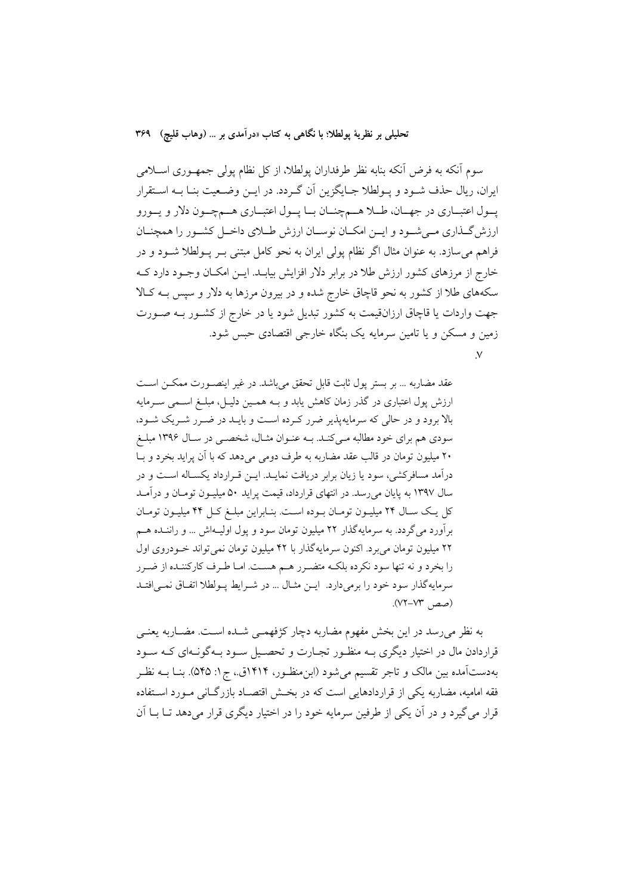سوم آنکه به فرض آنکه بنابه نظر طرفداران پولطلا، از کل نظام پولی جمهـوری اســلامی ايران، ريال حذف شـود و پـولطلا جـايگزين أن گـردد. در ايـن وضـعيت بنـا بـه اسـتقرار پـول اعتبــاري در جهــان، طـــلا هـــمچنــان بـــا پــول اعتبــاري هـــمچــون دلار و يــورو ارزش گـذاری مـی شـود و ایــن امکــان نوســان ارزش طــلای داخــل کشــور را همچنــان فراهم می سازد. به عنوان مثال اگر نظام پولی ایران به نحو کامل مبتنی بـر پــولطلا شــود و در خارج از مرزهای کشور ارزش طلا در برابر دلار افزایش بیابـد. ایــن امکــان وجــود دارد کــه سکههای طلا از کشور به نحو قاچاق خارج شده و در بیرون مرزها به دلار و سپس بـه کـالا جهت واردات یا قاچاق ارزانقیمت به کشور تبدیل شود یا در خارج از کشـور بـه صـورت زمین و مسکن و یا تامین سرمایه یک بنگاه خارجی اقتصادی حبس شود.  $\vee$ 

عقد مضاربه ... بر بستر پول ثابت قابل تحقق میباشد. در غیر اینصورت ممکن است ارزش پول اعتباری در گذر زمان کاهش یابد و بـه همـین دلیـل، مبلـغ اسـمی سـرمایه بالا برود و در حالی که سرمایهپذیر ضرر کرده است و بایـد در ضـرر شـریک شـود، سودی هم برای خود مطالبه مبی کنید. بیه عنبوان مثبال، شخصی در سیال ۱۳۹۶ میلیغ ۲۰ میلیون تومان در قالب عقد مضاربه به طرف دومی میدهد که با آن پراید بخرد و بـا درآمد مسافرکشی، سود یا زیان برابر دریافت نمایــد. ایــن قــرارداد یکســاله اســت و در سال ۱۳۹۷ به پایان می رسد. در انتهای قرارداد، قیمت پراید ۵۰ میلیـون تومـان و درآمـد کل یک سال ۲۴ میلیون تومان بوده است. بنابراین مبلغ کل ۴۴ میلیون تومان برآورد می گردد. به سرمایهگذار ۲۲ میلیون تومان سود و پول اولیـهاش ... و رانسـده هـم ۲۲ میلیون تومان میبرد. اکنون سرمایهگذار با ۴۲ میلیون تومان نمیتواند خـودروی اول را بخرد و نه تنها سود نكرده بلكـه متضـرر هـم هسـت. امـا طـرف كاركننـده از ضـرر سرمايهگذار سود خود را برميدارد. ايـن مثـال ... در شـرايط پـولطلا اتفـاق نمـيافتـد (صص ٧٣-٧٣).

به نظر می رسد در این بخش مفهوم مضاربه دچار کژفهمـی شـده اسـت. مضــاربه یعنـی قراردادن مال در اختیار دیگری بــه منظــور تجــارت و تحصــیل ســود بــهگونــهای کــه ســود بهدستآمده بین مالک و تاجر تقسیم می شود (ابن منظـور، ۱۴۱۴ق.، ج۱: ۵۴۵). بنــا بــه نظـر فقه امامیه، مضاربه یکی از قراردادهایی است که در بخش اقتصـاد بازرگـانی مـورد اسـتفاده قرار می گیرد و در آن یکی از طرفین سرمایه خود را در اختیار دیگری قرار میدهد تـا بــا آن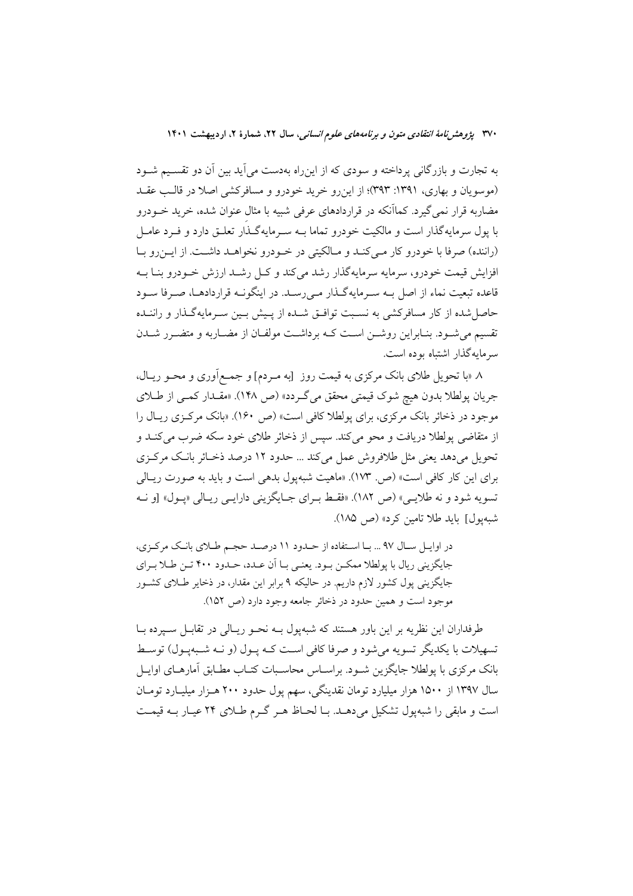به تجارت و بازرگانی پرداخته و سودی که از این٫راه بهدست می]ید بین آن دو تقسـیم شــود (موسویان و بهاری، ۱۳۹۱: ۳۹۳)؛ از این رو خرید خودرو و مسافرکشی اصلا در قالب عقـد مضاربه قرار نمی گیرد. کماآنکه در قراردادهای عرفی شبیه با مثال عنوان شده، خرید خـودرو با پول سرمایهگذار است و مالکیت خودرو تماما بـه سـرمایهگـذار تعلـق دارد و فـرد عامـل (راننده) صرفا با خودرو كار مبي كنـد و مـالكيتي در خـودرو نخواهـد داشـت. از ايـن رو بـا افزایش قیمت خودرو، سرمایه سرمایهگذار رشد میکند و کـل رشــد ارزش خــودرو بنــا بــه قاعده تبعیت نماء از اصل بــه ســرمایهگــذار مــی(ســد. در اینگونــه قراردادهــا، صــرفا ســود حاصل شده از کار مسافرکشی به نسبت توافـق شـده از پـیش بـین سـرمایهگـذار و راننـده تقسیم میشود. بنـابراین روشــن اسـت کــه برداشــت مولفــان از مضــاربه و متضــرر شــدن سرمايهگذار اشتباه بوده است.

۸ «با تحویل طلای بانک مرکزی به قیمت روز [به مـردم] و جمـع|وری و محـو ریـال، جريان پولطلا بدون هيچ شوک قيمتي محقق مي گـردد» (ص ١۴٨). «مقــدار كمــي از طــلاي موجود در ذخائر بانک مرکزی، برای پولطلا کافی است» (ص ۱۶۰). «بانک مرکزی ریـال را از متقاضی یولطلا دریافت و محو می کند. سپس از ذخائر طلای خود سکه ضرب می کنــد و تحویل میدهد یعنی مثل طلافروش عمل میکند … حدود ۱۲ درصد ذخـائر بانـک مرکـزی برای این کار کافی است» (ص. ۱۷۳). «ماهیت شبهپول بدهی است و باید به صورت ریـالی تسويه شود و نه طلايبي» (ص ١٨٢). «فقـط بـراي جـايگزيني دارايـي ريـالي «پـول» [و نــه شبهيول] بايد طلا تامين كرد» (ص ١٨٥).

در اوایل سال ۹۷ ... با استفاده از حدود ۱۱ درصد حجم طلای بانک مرکزی، جايگزيني ريال با پولطلا ممكــن بــود. يعنــي بــا آن عــده، حــدود ۴۰۰ تــن طــلا بــراي جایگزینی پول کشور لازم داریم. در حالیکه ۹ برابر این مقدار، در ذخایر طلای کشـور موجود است و همین حدود در ذخائر جامعه وجود دارد (ص ١٥٢).

طرفداران این نظریه بر این باور هستند که شبهپول بــه نحــو ریــالی در تقابــل ســیرده بــا تسهیلات با یکدیگر تسویه میشود و صرفا کافی است کـه پـول (و نـه شـبهپـول) توسـط بانک مرکزی با پولطلا جایگزین شـود. براسـاس محاسـبات کتـاب مطـابق آمارهـای اوايــل سال ۱۳۹۷ از ۱۵۰۰ هزار میلیارد تومان نقدینگی، سهم یول حدود ۲۰۰ هـزار میلیــارد تومــان است و مابقی را شبهپول تشکیل میدهـد. بـا لحـاظ هـر گـرم طـلای ۲۴ عیـار بـه قیمـت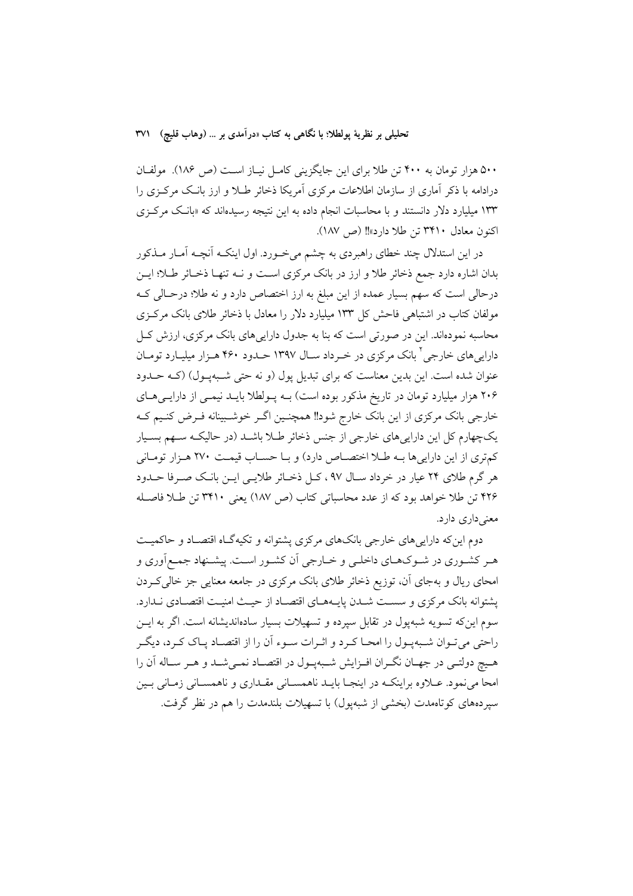۵۰۰ هزار تومان به ۴۰۰ تن طلا برای این جایگزینی کامـل نیـاز اسـت (ص ۱۸۶). مولفـان درادامه با ذکر آماری از سازمان اطلاعات مرکزی آمریکا ذخائر طـلا و ارز بانـک مرکـزی را ۱۳۳ میلیارد دلار دانستند و با محاسبات انجام داده به این نتیجه رسیدهاند که «بانک مرکزی اكنون معادل ٣۴١٠ تن طلا دارد»!! (ص ١٨٧).

در این استدلال چند خطای راهبردی به چشم میخورد. اول اینکـه آنچـه آمـار مــذکور بدان اشاره دارد جمع ذخائر طلا و ارز در بانک مرکزی است و نــه تنهــا ذخــائر طــلا؛ ايــن درحالی است که سهم بسیار عمده از این مبلغ به ارز اختصاص دارد و نه طلا؛ درحـالی کــه مولفان کتاب در اشتباهی فاحش کل ۱۳۳ میلیارد دلار را معادل با ذخائر طلای بانک مرکزی محاسبه نمودهاند. این در صورتی است که بنا به جدول دارایی های بانک مرکزی، ارزش کـل دارایی های خارجی <sup>۲</sup> بانک مرکزی در خبرداد سبال ۱۳۹۷ حیدو د ۴۶۰ هیزار میلیبارد تومیان عنوان شده است. این بدین معناست که برای تبدیل پول (و نه حتی شـبهپـول) (کـه حـدود ۲۰۶ هزار میلیارد تومان در تاریخ مذکور بوده است) بـه پـولطلا بایـد نیمـی از دارایـیهـای خارجي بانک مرکزي از اين بانک خارج شود!! همچنـين اگـر خوشـبينانه فـرض کنـيم کـه یکچهارم کل این داراییهای خارجی از جنس ذخائر طـلا باشـد (در حالیکـه سـهم بسـیار كمترى از اين دارايي ها بـه طلا اختصـاص دارد) و بـا حسـاب قيمـت ٢٧٠ هـزار تومـاني هر گرم طلای ۲۴ عیار در خرداد سـال ۹۷، کـل ذخـائر طلایـی ایـن بانـک صـرفا حــدود ۴۲۶ تن طلا خواهد بود که از عدد محاسباتی کتاب (ص ۱۸۷) یعنی ۳۴۱۰ تن طلا فاصله معنے دار ی دار د.

دوم این که دارایی های خارجی بانکهای مرکزی پشتوانه و تکیهگـاه اقتصـاد و حاکمیـت هـر کشـوري در شـوکـهـاي داخلـي و خـارجي اَن کشـور اسـت. پيشـنهاد جمـع|َوري و امحای ریال و بهجای آن، توزیع ذخائر طلای بانک مرکزی در جامعه معنایی جز خالی کـردن يشتوانه بانك مركزي و سست شـدن يايـههـاي اقتصـاد از حيـث امنيـت اقتصـادي نـدارد. سوم این که تسویه شبهیول در تقابل سیرده و تسهیلات بسیار سادهاندیشانه است. اگر به ایــن راحتی میتوان شـبهپـول را امحـا کـرد و اثـرات سـوء آن را از اقتصـاد پـاک کـرد، دیگـر هـيچ دولتـي در جهـان نگـران افـزايش شـبهپـول در اقتصـاد نمـيشـد و هـر سـاله آن را امحا می نمود. عــلاوه براینکـه در اینجــا بایــد ناهمســانی مقــداری و ناهمســانی زمــانی بــین سیردههای کوتاهمدت (بخشی از شبهیول) با تسهیلات بلندمدت را هم در نظر گرفت.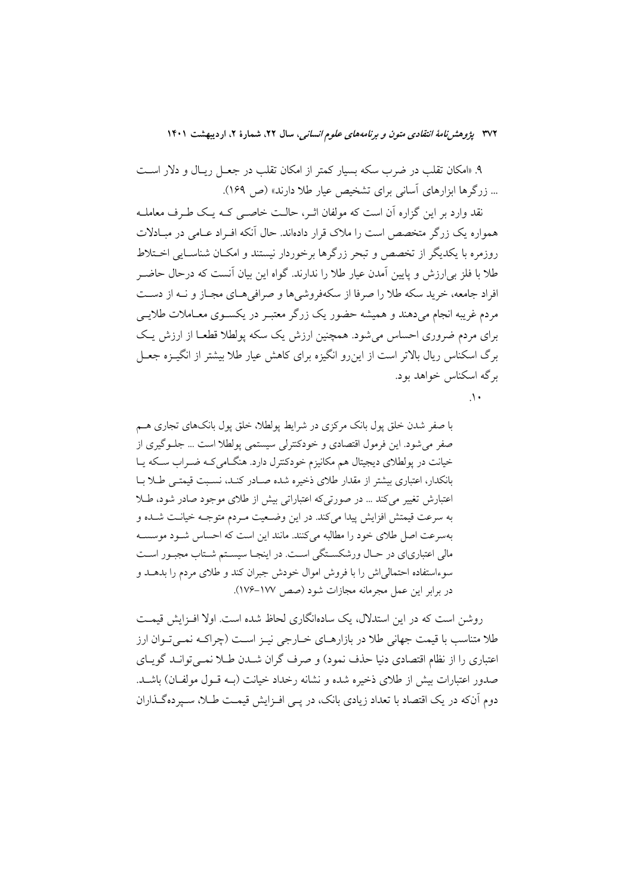۹. «امکان تقلب در ضرب سکه بسیار کمتر از امکان تقلب در جعـل ریـال و دلار اسـت ... زرگرها ابزارهای آسانی برای تشخیص عیار طلا دارند» (ص ۱۶۹).

نقد وارد بر این گزاره آن است که مولفان اثـر، حالـت خاصـی کـه یـک طـرف معاملـه همواره یک زرگر متخصص است را ملاک قرار دادهاند. حال آنکه افـراد عـامی در مبـادلات روزمره با یکدیگر از تخصص و تبحر زرگرها برخوردار نیستند و امکـان شناسـایی اخــتلاط طلا با فلز به ارزش و پایین آمدن عیار طلا را ندارند. گواه این بیان آنست که درحال حاضـر افراد جامعه، خرید سکه طلا را صرفا از سکهفروشی ها و صرافی هـای مجـاز و نــه از دســت مردم غریبه انجام میدهند و همیشه حضور یک زرگر معتبـر در یکســوی معــاملات طلایــی برای مردم ضروری احساس می شود. همچنین ارزش یک سکه بولطلا قطعـا از ارزش یـک برگ اسکناس ریال بالاتر است از این و انگیزه برای کاهش عبار طلا بیشتر از انگیزه جعبل برگه اسکناس خواهد بود.

 $\Lambda$ 

با صفر شدن خلق یول بانک مرکزی در شرایط پولطلا، خلق یول بانکهای تجاری هـم صفر می شود. این فرمول اقتصادی و خودکنترلی سیستمی پولطلا است … جلـوگیری از خیانت در یولطلای دیجیتال هم مکانیزم خودکنترل دارد. هنگامی کـه ضـراب سـکه پـا بانکدار، اعتباری بیشتر از مقدار طلای ذخیره شده صـادر کنـد، نسـبت قیمتـی طـلا بـا اعتبارش تغییر می کند ... در صورتی که اعتباراتی بیش از طلای موجود صادر شود، طلا به سرعت قیمتش افزایش پیدا می کند. در این وضعیت مـردم متوجـه خیانـت شـده و بهسرعت اصل طلای خود را مطالبه می کنند. مانند این است که احساس شـود موسسـه مالي اعتبارياي در حـال ورشكسـتگي اسـت. در اينجـا سيسـتم شـتاب مجبـور اسـت سوءاستفاده احتمالی اش را با فروش اموال خودش جبران کند و طلای مردم را بدهـد و در برابر این عمل مجرمانه مجازات شود (صص ١٧٧–١٧۶).

روشن است که در این استدلال، یک سادهانگاری لحاظ شده است. اولا اف ایش قیمت طلا متناسب با قیمت جهانی طلا در بازارهـای خــارجی نیــز اســت (چراکــه نمــیتــوان ارز اعتباری را از نظام اقتصادی دنیا حذف نمود) و صرف گران شــدن طــلا نمــه توانــد گوپــای صدور اعتبارات بیش از طلای ذخیره شده و نشانه رخداد خیانت (بـه قــول مولفــان) باشــد. دوم آنکه در یک اقتصاد با تعداد زیادی بانک، در یــی افــزایش قیمــت طــلا، ســیر دهگــذاران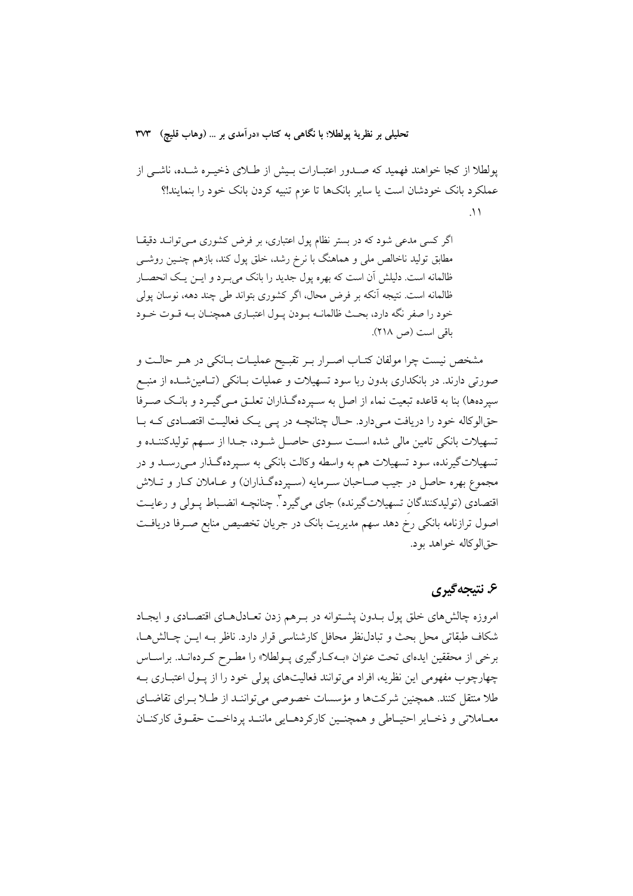پولطلا از کجا خواهند فهمید که صـدور اعتبـارات بـیش از طـلای ذخیـره شـده، ناشـی از عملکرد بانک خودشان است یا سایر بانکها تا عزم تنبیه کردن بانک خود را بنمایند!؟  $\lambda$ 

اگر کسی مدعی شود که در بستر نظام یول اعتباری، بر فرض کشوری مبی توانید دقیقیا مطابق تولید ناخالص ملی و هماهنگ با نرخ رشد، خلق پول کند، بازهم چنـین روشـی ظالمانه است. دلیلش آن است که بهره پول جدید را بانک می بـرد و ایــن یـک انحصــار ظالمانه است. نتيجه آنكه بر فرض محال، اگر كشورى بتواند طي چند دهه، نوسان پولي خود را صفر نگه دارد، بحث ظالمانــه بــودن پــول اعتبــاري همچنــان بــه قــوت خــود باقی است (ص ٢١٨).

مشخص نیست چرا مولفان کتـاب اصــرار بــر تقبــیح عملیــات بــانکی در هــر حالــت و صورتی دارند. در بانکداری بدون ربا سود تسهیلات و عملیات بـانکی (تـامینشـده از منبـع سیردهها) بنا به قاعده تبعیت نماء از اصل به سـیردهگـذاران تعلـق مـی گیـرد و بانـک صـرفا حقالوکاله خود را دریافت می دارد. حـال چنانچـه در یـی یـک فعالیـت اقتصـادی کـه بـا تسهيلات بانكي تامين مالي شده است سـودي حاصـل شـود، جـدا از سـهم توليدكننـده و تسهيلات گيرنده، سود تسهيلات هم به واسطه وكالت بانكي به سـيرده گــذار مـي رسـد و در مجموع بهره حاصل در جیب صـاحبان سـرمایه (سـپردهگـذاران) و عــاملان کــار و تــلاش اقتصادي (توليدكنندگان تسهيلاتگيرنده) جاي ميگيرد<sup>؟</sup>. چنانچــه انضــباط پــولي و رعايــت اصول ترازنامه بانکی رخ دهد سهم مدیریت بانک در جریان تخصیص منابع صـرفا دریافـت حق|لو كاله خواهد بود.

# ۶. نتيجه گيري

امروزه چالشهای خلق پول بــدون پشــتوانه در بــرهم زدن تعــادلهــای اقتصــادی و ایجــاد شکاف طبقاتی محل بحث و تبادل نظر محافل کارشناسی قرار دارد. ناظر بـه ایــن چــالش هــا، برخی از محققین ایدهای تحت عنوان «بهکـارگیری پـولطلا» را مطـرح کـردهانـد. براسـاس چهارچوب مفهومی این نظریه، افراد می توانند فعالیتهای پولی خود را از پـول اعتبــاری بــه طلا منتقل کنند. همچنین شرکتها و مؤسسات خصوصی می تواننـد از طـلا بـرای تقاضـای معباملاتی و ذخبایر احتبیاطی و همچنیین کارکردهبایی ماننید یرداخت حقیوق کارکنبان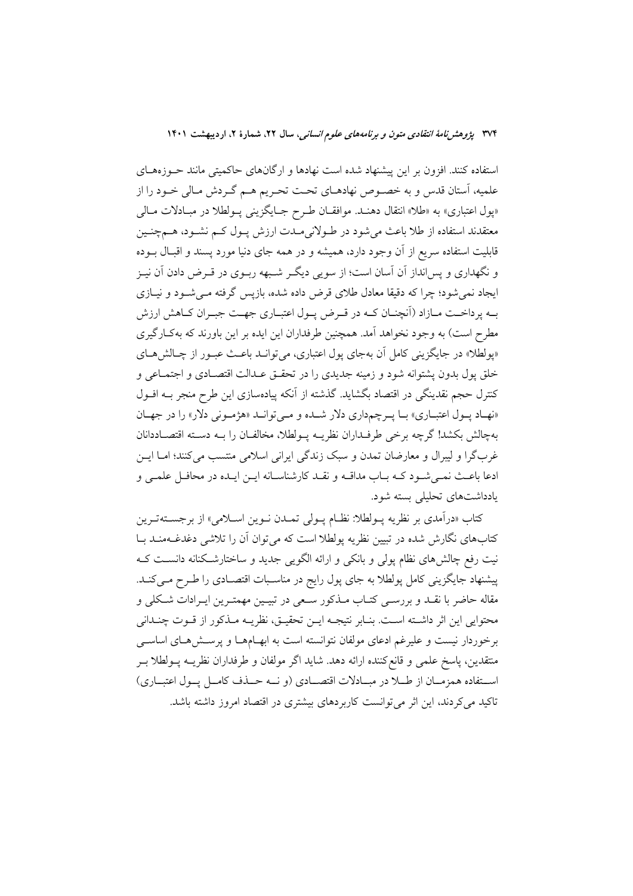استفاده کنند. افزون بر این پیشنهاد شده است نهادها و ارگانهای حاکمیتی مانند حـوزههـای علمیه، آستان قدس و به خصوص نهادهـای تحـت تحـریم هـم گـردش مـالی خـود را از «پول اعتباری» به «طلا» انتقال دهنـد. موافقـان طـرح جـايگزيني پـولطلا در مبـادلات مـالي معتقدند استفاده از طلا باعث میشود در طـولانیِمـدت ارزش پـول کـم نشـود، هـمچنـین قابلیت استفاده سریع از آن وجود دارد، همیشه و در همه جای دنیا مورد پسند و اقبـال بــوده و نگهداری و پسانداز آن آسان است؛ از سویی دیگـر شـبهه ربـوی در قـرض دادن آن نیـز ایجاد نمی شود؛ چرا که دقیقا معادل طلای قرض داده شده، بازپس گرفته مـی شـود و نیـازی بـه پرداخــت مــازاد (آنچنــان كــه در قــرض پــول اعتبــاري جهــت جبــران كــاهش ارزش مطرح است) به وجود نخواهد آمد. همچنین طرفداران این ایده بر این باورند که بهکارگیری «پولطلا» در جایگزینی کامل آن بهجای یول اعتباری، می توانــد باعــث عبـور از چــالش هــای خلق يول بدون يشتوانه شود و زمينه جديدي را در تحقـق عـدالت اقتصـادي و اجتمـاعي و كنترل حجم نقدينگي در اقتصاد بگشايد. گذشته از آنكه پيادهسازي اين طرح منجر بــه افــول «نهاد پول اعتباري» با پرچمداري دلار شده و مي توانيد «هژموني دلار» را در جهان بهچالش بكشد! گرچه برخي طرفـداران نظريــه پــولطلا، مخالفــان را بــه دســته اقتصــاددانان غربگرا و ليبرال و معارضان تمدن و سبک زندگي ايراني اسلامي منتسب مي کنند؛ امــا ايــن ادعا باعـث نمـي شـود كـه بـاب مداقـه و نقـد كارشناسـانه ايـن ايـده در محافـل علمـي و یادداشتهای تحلیلی بسته شود.

كتاب «درآمدي بر نظريه پــولطلا: نظــام پــولي تمــدن نــوين اســلامي» از برجســتهتــرين کتابهای نگارش شده در تبیین نظریه پولطلا است که می توان اّن را تلاشی دغدغــهمنــد بــا نیت رفع چالش،های نظام پولی و بانکی و ارائه الگویی جدید و ساختارشکنانه دانسـت کــه پیشنهاد جایگزینی کامل پولطلا به جای پول رایج در مناسـبات اقتصـادی را طـرح مـیکنـد. مقاله حاضر با نقـد و بررسـي كتـاب مـذكور سـعي در تبيـين مهمتـرين ايـرادات شـكلي و محتوايي اين اثر داشـته اسـت. بنـابر نتيجـه ايـن تحقيـق، نظريــه مـذكور از قــوت چنـداني برخوردار نیست و علیرغم ادعای مولفان نتوانسته است به ابهـامهـا و پرسـش۵هـای اساســی متقدين، پاسخ علمي و قانع كننده ارائه دهد. شايد اگر مولفان و طرفداران نظريــه پــولطلا بــر استفاده همزمـان از طــلا در مبــادلات اقتصــادي (و نــه حــذف كامــل يــول اعتبــاري) تاکید می کردند، این اثر می توانست کاربردهای پیشتری در اقتصاد امروز داشته باشد.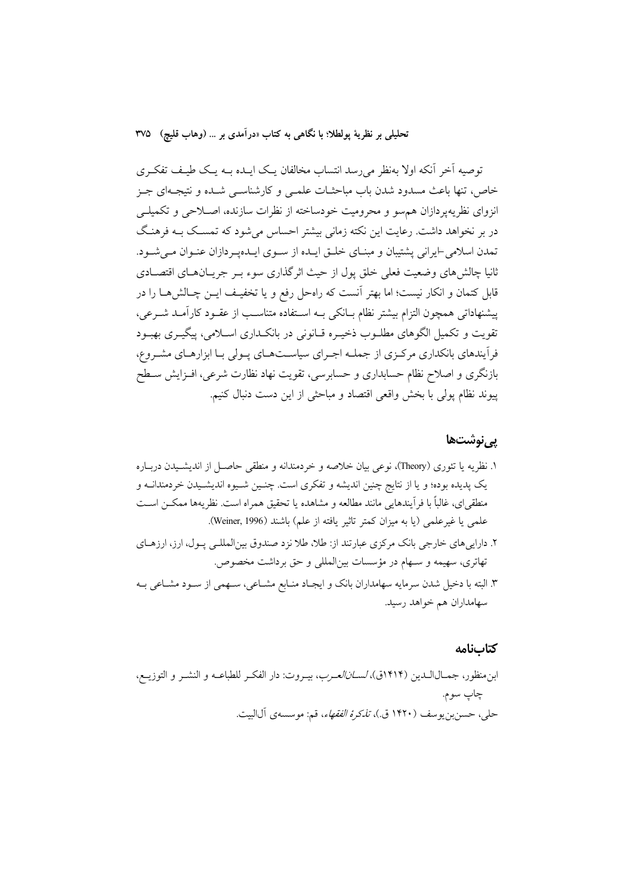توصیه آخر آنکه اولا بهنظر می٫رسد انتساب مخالفان یـک ایــده بــه یــک طیـف تفکــری خاص، تنها باعث مسدود شدن باب مباحثـات علمـي و كارشناسـي شـده و نتيجـهاي جـز انزوای نظریهپردازان هم سو و محرومیت خودساخته از نظرات سازنده، اصـلاحی و تکمیلــی در بر نخواهد داشت. رعایت این نکته زمانی بیشتر احساس می شود که تمسـک بــه فرهنـگ تمدن اسلامی ایرانی پشتیبان و مبنـای خلـق ایـده از سـوی ایـدهیـردازان عنـوان مـی شـود. ثانیا چالش۵ای وضعیت فعلی خلق یول از حیث اثر گذاری سوء بـر جریــانهــای اقتصــادی قابل کتمان و انکار نیست؛ اما بهتر آنست که راهحل رفع و یا تخفیـف ایــن چــالش۵هــا را در پیشنهاداتی همچون التزام بیشتر نظام بـانکی بـه اسـتفاده متناسـب از عقـود کارآمـد شـرعی، تقویت و تکمیل الگوهای مطلــوب ذخیــره قــانونی در بانکــداری اســلامی، پیگیــری بهبــود فرآیندهای بانکداری مرکزی از جملـه اجـرای سیاسـتهـای پـولی بـا ابزارهـای مشـروع، بازنگری و اصلاح نظام حسابداری و حسابرسی، تقویت نهاد نظارت شرعی، افــزایش ســطح پیوند نظام پولی با بخش واقعی اقتصاد و مباحثی از این دست دنبال کنیم.

#### یے نوشتھا

- ۱. نظریه یا تئوری (Theory)، نوعی بیان خلاصه و خردمندانه و منطقی حاصـل از اندیشـیدن دربـاره يک پديده بوده؛ و يا از نتايج چنين انديشه و تفكري است. چنـين شـيوه انديشـيدن خردمندانــه و منطقي اي، غالباً با فر آيندهايي مانند مطالعه و مشاهده يا تحقيق همراه است. نظريهها ممكــز اســت علمي يا غيرعلمي (يا به ميزان كمتر تاثير يافته از علم) باشند (Weiner, 1996).
- ۲. دارایی های خارجی بانک مرکزی عبارتند از: طلا، طلا نزد صندوق بینالمللـی پـول، ارز، ارزهـای تهاتری، سهیمه و سـهام در مؤسسات بین|لمللی و حق برداشت مخصوص.
- ۳. البته با دخیل شدن سرمایه سهامداران بانک و ایجـاد منـابع مشـاعی، سـهمی از سـود مشـاعی بـه سهامداران هم خواهد رسيد.

#### كتابنامه

ابن منظور، جمــالالــدين (۱۴۱۴ق)، *لســانالعــرب*، بيــروت: دار الفكــر للطباعــه و النشــر و التوزيــع، چاپ سوم. حلي، حسن بن يوسف (١۴٢٠ ق.)، *تذكرهُ الفقهاء*، قم: موسسهي آل|لبيت.